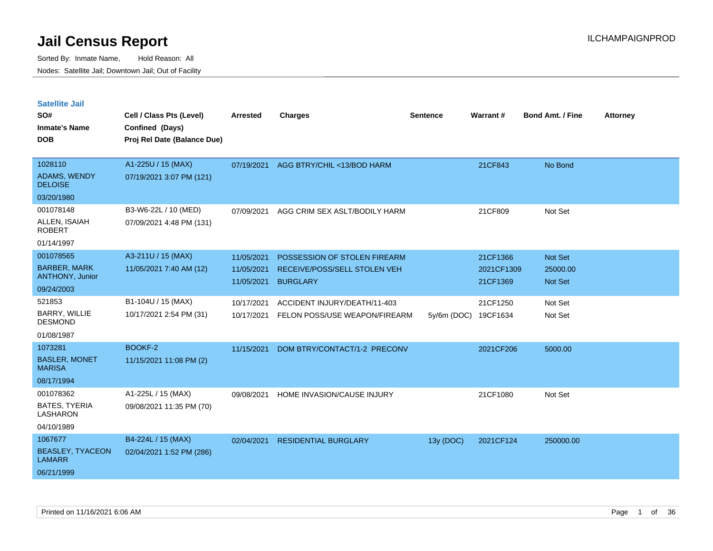Sorted By: Inmate Name, Hold Reason: All Nodes: Satellite Jail; Downtown Jail; Out of Facility

| <b>Satellite Jail</b><br>SO#<br><b>Inmate's Name</b><br><b>DOB</b> | Cell / Class Pts (Level)<br>Confined (Days)<br>Proj Rel Date (Balance Due) | <b>Arrested</b>          | <b>Charges</b>                                  | <b>Sentence</b> | Warrant#               | <b>Bond Amt. / Fine</b> | <b>Attorney</b> |
|--------------------------------------------------------------------|----------------------------------------------------------------------------|--------------------------|-------------------------------------------------|-----------------|------------------------|-------------------------|-----------------|
| 1028110                                                            | A1-225U / 15 (MAX)                                                         | 07/19/2021               | AGG BTRY/CHIL <13/BOD HARM                      |                 | 21CF843                | No Bond                 |                 |
| <b>ADAMS, WENDY</b><br><b>DELOISE</b>                              | 07/19/2021 3:07 PM (121)                                                   |                          |                                                 |                 |                        |                         |                 |
| 03/20/1980                                                         |                                                                            |                          |                                                 |                 |                        |                         |                 |
| 001078148                                                          | B3-W6-22L / 10 (MED)                                                       | 07/09/2021               | AGG CRIM SEX ASLT/BODILY HARM                   |                 | 21CF809                | Not Set                 |                 |
| ALLEN, ISAIAH<br><b>ROBERT</b>                                     | 07/09/2021 4:48 PM (131)                                                   |                          |                                                 |                 |                        |                         |                 |
| 01/14/1997                                                         |                                                                            |                          |                                                 |                 |                        |                         |                 |
| 001078565                                                          | A3-211U / 15 (MAX)                                                         | 11/05/2021               | POSSESSION OF STOLEN FIREARM                    |                 | 21CF1366               | Not Set                 |                 |
| <b>BARBER, MARK</b><br><b>ANTHONY, Junior</b>                      | 11/05/2021 7:40 AM (12)                                                    | 11/05/2021<br>11/05/2021 | RECEIVE/POSS/SELL STOLEN VEH<br><b>BURGLARY</b> |                 | 2021CF1309<br>21CF1369 | 25000.00<br>Not Set     |                 |
| 09/24/2003                                                         |                                                                            |                          |                                                 |                 |                        |                         |                 |
| 521853                                                             | B1-104U / 15 (MAX)                                                         | 10/17/2021               | ACCIDENT INJURY/DEATH/11-403                    |                 | 21CF1250               | Not Set                 |                 |
| <b>BARRY, WILLIE</b><br><b>DESMOND</b>                             | 10/17/2021 2:54 PM (31)                                                    | 10/17/2021               | FELON POSS/USE WEAPON/FIREARM                   | $5y/6m$ (DOC)   | 19CF1634               | Not Set                 |                 |
| 01/08/1987                                                         |                                                                            |                          |                                                 |                 |                        |                         |                 |
| 1073281                                                            | BOOKF-2                                                                    | 11/15/2021               | DOM BTRY/CONTACT/1-2 PRECONV                    |                 | 2021CF206              | 5000.00                 |                 |
| <b>BASLER, MONET</b><br><b>MARISA</b>                              | 11/15/2021 11:08 PM (2)                                                    |                          |                                                 |                 |                        |                         |                 |
| 08/17/1994                                                         |                                                                            |                          |                                                 |                 |                        |                         |                 |
| 001078362                                                          | A1-225L / 15 (MAX)                                                         | 09/08/2021               | HOME INVASION/CAUSE INJURY                      |                 | 21CF1080               | Not Set                 |                 |
| <b>BATES, TYERIA</b><br><b>LASHARON</b>                            | 09/08/2021 11:35 PM (70)                                                   |                          |                                                 |                 |                        |                         |                 |
| 04/10/1989                                                         |                                                                            |                          |                                                 |                 |                        |                         |                 |
| 1067677                                                            | B4-224L / 15 (MAX)                                                         | 02/04/2021               | <b>RESIDENTIAL BURGLARY</b>                     | 13y (DOC)       | 2021CF124              | 250000.00               |                 |
| <b>BEASLEY, TYACEON</b><br><b>LAMARR</b>                           | 02/04/2021 1:52 PM (286)                                                   |                          |                                                 |                 |                        |                         |                 |

06/21/1999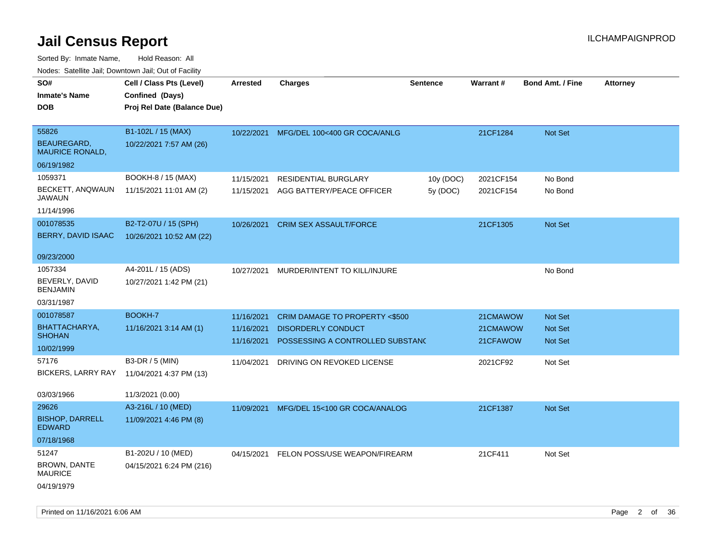| ivouss. Satellite Jall, Downtown Jall, Out of Facility |                             |                 |                                          |                 |           |                         |                 |
|--------------------------------------------------------|-----------------------------|-----------------|------------------------------------------|-----------------|-----------|-------------------------|-----------------|
| SO#                                                    | Cell / Class Pts (Level)    | <b>Arrested</b> | <b>Charges</b>                           | <b>Sentence</b> | Warrant#  | <b>Bond Amt. / Fine</b> | <b>Attorney</b> |
| <b>Inmate's Name</b>                                   | Confined (Days)             |                 |                                          |                 |           |                         |                 |
| <b>DOB</b>                                             | Proj Rel Date (Balance Due) |                 |                                          |                 |           |                         |                 |
|                                                        |                             |                 |                                          |                 |           |                         |                 |
| 55826                                                  | B1-102L / 15 (MAX)          |                 | 10/22/2021 MFG/DEL 100<400 GR COCA/ANLG  |                 | 21CF1284  | <b>Not Set</b>          |                 |
| <b>BEAUREGARD,</b><br><b>MAURICE RONALD,</b>           | 10/22/2021 7:57 AM (26)     |                 |                                          |                 |           |                         |                 |
| 06/19/1982                                             |                             |                 |                                          |                 |           |                         |                 |
| 1059371                                                | BOOKH-8 / 15 (MAX)          | 11/15/2021      | RESIDENTIAL BURGLARY                     | 10y (DOC)       | 2021CF154 | No Bond                 |                 |
| BECKETT, ANQWAUN<br>JAWAUN                             | 11/15/2021 11:01 AM (2)     | 11/15/2021      | AGG BATTERY/PEACE OFFICER                | 5y (DOC)        | 2021CF154 | No Bond                 |                 |
| 11/14/1996                                             |                             |                 |                                          |                 |           |                         |                 |
| 001078535                                              | B2-T2-07U / 15 (SPH)        | 10/26/2021      | <b>CRIM SEX ASSAULT/FORCE</b>            |                 | 21CF1305  | <b>Not Set</b>          |                 |
| BERRY, DAVID ISAAC                                     | 10/26/2021 10:52 AM (22)    |                 |                                          |                 |           |                         |                 |
|                                                        |                             |                 |                                          |                 |           |                         |                 |
| 09/23/2000                                             |                             |                 |                                          |                 |           |                         |                 |
| 1057334                                                | A4-201L / 15 (ADS)          | 10/27/2021      | MURDER/INTENT TO KILL/INJURE             |                 |           | No Bond                 |                 |
| BEVERLY, DAVID<br><b>BENJAMIN</b>                      | 10/27/2021 1:42 PM (21)     |                 |                                          |                 |           |                         |                 |
| 03/31/1987                                             |                             |                 |                                          |                 |           |                         |                 |
| 001078587                                              | <b>BOOKH-7</b>              | 11/16/2021      | CRIM DAMAGE TO PROPERTY <\$500           |                 | 21CMAWOW  | <b>Not Set</b>          |                 |
| BHATTACHARYA,                                          | 11/16/2021 3:14 AM (1)      | 11/16/2021      | <b>DISORDERLY CONDUCT</b>                |                 | 21CMAWOW  | <b>Not Set</b>          |                 |
| <b>SHOHAN</b>                                          |                             | 11/16/2021      | POSSESSING A CONTROLLED SUBSTANC         |                 | 21CFAWOW  | <b>Not Set</b>          |                 |
| 10/02/1999                                             |                             |                 |                                          |                 |           |                         |                 |
| 57176                                                  | B3-DR / 5 (MIN)             | 11/04/2021      | DRIVING ON REVOKED LICENSE               |                 | 2021CF92  | Not Set                 |                 |
| <b>BICKERS, LARRY RAY</b>                              | 11/04/2021 4:37 PM (13)     |                 |                                          |                 |           |                         |                 |
| 03/03/1966                                             | 11/3/2021 (0.00)            |                 |                                          |                 |           |                         |                 |
| 29626                                                  | A3-216L / 10 (MED)          | 11/09/2021      | MFG/DEL 15<100 GR COCA/ANALOG            |                 | 21CF1387  | Not Set                 |                 |
| <b>BISHOP, DARRELL</b>                                 | 11/09/2021 4:46 PM (8)      |                 |                                          |                 |           |                         |                 |
| <b>EDWARD</b>                                          |                             |                 |                                          |                 |           |                         |                 |
| 07/18/1968                                             |                             |                 |                                          |                 |           |                         |                 |
| 51247                                                  | B1-202U / 10 (MED)          |                 | 04/15/2021 FELON POSS/USE WEAPON/FIREARM |                 | 21CF411   | Not Set                 |                 |
| <b>BROWN, DANTE</b><br><b>MAURICE</b>                  | 04/15/2021 6:24 PM (216)    |                 |                                          |                 |           |                         |                 |
| 04/19/1979                                             |                             |                 |                                          |                 |           |                         |                 |
|                                                        |                             |                 |                                          |                 |           |                         |                 |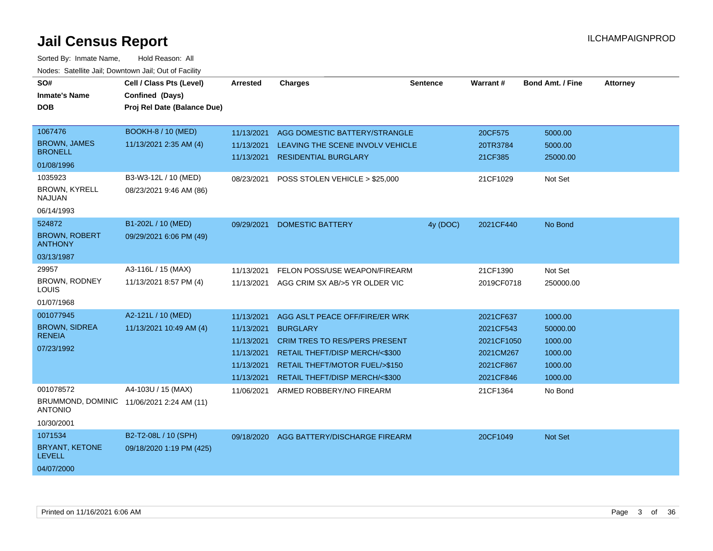| SO#<br><b>Inmate's Name</b><br><b>DOB</b><br>1067476<br><b>BROWN, JAMES</b><br><b>BRONELL</b> | Cell / Class Pts (Level)<br>Confined (Days)<br>Proj Rel Date (Balance Due)<br><b>BOOKH-8 / 10 (MED)</b><br>11/13/2021 2:35 AM (4) | <b>Arrested</b><br>11/13/2021<br>11/13/2021<br>11/13/2021                        | <b>Charges</b><br>AGG DOMESTIC BATTERY/STRANGLE<br>LEAVING THE SCENE INVOLV VEHICLE<br><b>RESIDENTIAL BURGLARY</b>                                                                              | <b>Sentence</b> | Warrant#<br>20CF575<br>20TR3784<br>21CF385                                  | <b>Bond Amt. / Fine</b><br>5000.00<br>5000.00<br>25000.00       | <b>Attorney</b> |
|-----------------------------------------------------------------------------------------------|-----------------------------------------------------------------------------------------------------------------------------------|----------------------------------------------------------------------------------|-------------------------------------------------------------------------------------------------------------------------------------------------------------------------------------------------|-----------------|-----------------------------------------------------------------------------|-----------------------------------------------------------------|-----------------|
| 01/08/1996                                                                                    |                                                                                                                                   |                                                                                  |                                                                                                                                                                                                 |                 |                                                                             |                                                                 |                 |
| 1035923<br><b>BROWN, KYRELL</b><br><b>NAJUAN</b><br>06/14/1993                                | B3-W3-12L / 10 (MED)<br>08/23/2021 9:46 AM (86)                                                                                   | 08/23/2021                                                                       | POSS STOLEN VEHICLE > \$25,000                                                                                                                                                                  |                 | 21CF1029                                                                    | Not Set                                                         |                 |
| 524872<br><b>BROWN, ROBERT</b><br><b>ANTHONY</b><br>03/13/1987                                | B1-202L / 10 (MED)<br>09/29/2021 6:06 PM (49)                                                                                     | 09/29/2021                                                                       | <b>DOMESTIC BATTERY</b>                                                                                                                                                                         | 4y (DOC)        | 2021CF440                                                                   | No Bond                                                         |                 |
| 29957<br><b>BROWN, RODNEY</b><br>LOUIS<br>01/07/1968                                          | A3-116L / 15 (MAX)<br>11/13/2021 8:57 PM (4)                                                                                      | 11/13/2021<br>11/13/2021                                                         | FELON POSS/USE WEAPON/FIREARM<br>AGG CRIM SX AB/>5 YR OLDER VIC                                                                                                                                 |                 | 21CF1390<br>2019CF0718                                                      | Not Set<br>250000.00                                            |                 |
| 001077945<br><b>BROWN, SIDREA</b><br><b>RENEIA</b><br>07/23/1992                              | A2-121L / 10 (MED)<br>11/13/2021 10:49 AM (4)                                                                                     | 11/13/2021<br>11/13/2021<br>11/13/2021<br>11/13/2021<br>11/13/2021<br>11/13/2021 | AGG ASLT PEACE OFF/FIRE/ER WRK<br><b>BURGLARY</b><br><b>CRIM TRES TO RES/PERS PRESENT</b><br>RETAIL THEFT/DISP MERCH/<\$300<br>RETAIL THEFT/MOTOR FUEL/>\$150<br>RETAIL THEFT/DISP MERCH/<\$300 |                 | 2021CF637<br>2021CF543<br>2021CF1050<br>2021CM267<br>2021CF867<br>2021CF846 | 1000.00<br>50000.00<br>1000.00<br>1000.00<br>1000.00<br>1000.00 |                 |
| 001078572<br><b>ANTONIO</b><br>10/30/2001                                                     | A4-103U / 15 (MAX)<br>BRUMMOND, DOMINIC 11/06/2021 2:24 AM (11)                                                                   | 11/06/2021                                                                       | ARMED ROBBERY/NO FIREARM                                                                                                                                                                        |                 | 21CF1364                                                                    | No Bond                                                         |                 |
| 1071534<br><b>BRYANT, KETONE</b><br><b>LEVELL</b><br>04/07/2000                               | B2-T2-08L / 10 (SPH)<br>09/18/2020 1:19 PM (425)                                                                                  | 09/18/2020                                                                       | AGG BATTERY/DISCHARGE FIREARM                                                                                                                                                                   |                 | 20CF1049                                                                    | Not Set                                                         |                 |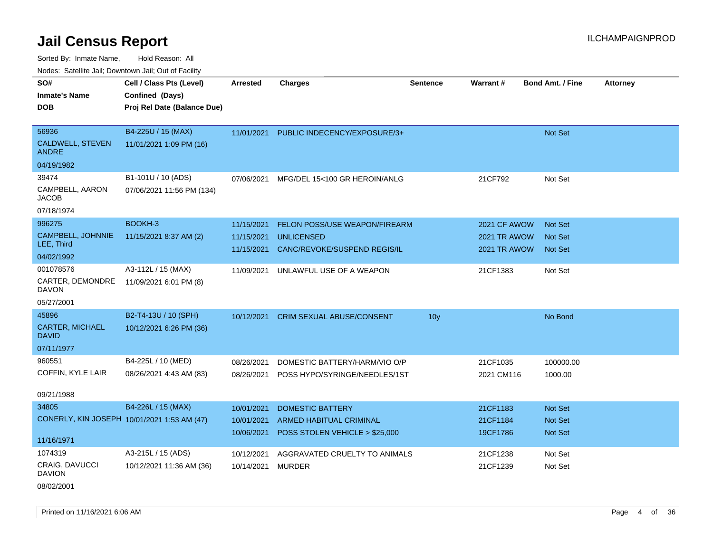Sorted By: Inmate Name, Hold Reason: All Nodes: Satellite Jail; Downtown Jail; Out of Facility

| SO#<br><b>Inmate's Name</b><br><b>DOB</b>                   | Cell / Class Pts (Level)<br>Confined (Days)<br>Proj Rel Date (Balance Due) | <b>Arrested</b>                        | <b>Charges</b>                                                                     | <b>Sentence</b> | Warrant#                                                   | <b>Bond Amt. / Fine</b>                            | <b>Attorney</b> |
|-------------------------------------------------------------|----------------------------------------------------------------------------|----------------------------------------|------------------------------------------------------------------------------------|-----------------|------------------------------------------------------------|----------------------------------------------------|-----------------|
| 56936<br><b>CALDWELL, STEVEN</b><br><b>ANDRE</b>            | B4-225U / 15 (MAX)<br>11/01/2021 1:09 PM (16)                              | 11/01/2021                             | PUBLIC INDECENCY/EXPOSURE/3+                                                       |                 |                                                            | Not Set                                            |                 |
| 04/19/1982                                                  |                                                                            |                                        |                                                                                    |                 |                                                            |                                                    |                 |
| 39474<br>CAMPBELL, AARON<br>JACOB<br>07/18/1974             | B1-101U / 10 (ADS)<br>07/06/2021 11:56 PM (134)                            | 07/06/2021                             | MFG/DEL 15<100 GR HEROIN/ANLG                                                      |                 | 21CF792                                                    | Not Set                                            |                 |
| 996275<br>CAMPBELL, JOHNNIE<br>LEE, Third<br>04/02/1992     | BOOKH-3<br>11/15/2021 8:37 AM (2)                                          | 11/15/2021<br>11/15/2021<br>11/15/2021 | FELON POSS/USE WEAPON/FIREARM<br><b>UNLICENSED</b><br>CANC/REVOKE/SUSPEND REGIS/IL |                 | 2021 CF AWOW<br><b>2021 TR AWOW</b><br><b>2021 TR AWOW</b> | <b>Not Set</b><br><b>Not Set</b><br><b>Not Set</b> |                 |
| 001078576<br>CARTER, DEMONDRE<br><b>DAVON</b><br>05/27/2001 | A3-112L / 15 (MAX)<br>11/09/2021 6:01 PM (8)                               | 11/09/2021                             | UNLAWFUL USE OF A WEAPON                                                           |                 | 21CF1383                                                   | Not Set                                            |                 |
| 45896<br><b>CARTER, MICHAEL</b><br>David<br>07/11/1977      | B2-T4-13U / 10 (SPH)<br>10/12/2021 6:26 PM (36)                            | 10/12/2021                             | CRIM SEXUAL ABUSE/CONSENT                                                          | 10 <sub>y</sub> |                                                            | No Bond                                            |                 |
| 960551<br>COFFIN, KYLE LAIR<br>09/21/1988                   | B4-225L / 10 (MED)<br>08/26/2021 4:43 AM (83)                              | 08/26/2021<br>08/26/2021               | DOMESTIC BATTERY/HARM/VIO O/P<br>POSS HYPO/SYRINGE/NEEDLES/1ST                     |                 | 21CF1035<br>2021 CM116                                     | 100000.00<br>1000.00                               |                 |
| 34805                                                       | B4-226L / 15 (MAX)                                                         | 10/01/2021                             | <b>DOMESTIC BATTERY</b>                                                            |                 | 21CF1183                                                   | <b>Not Set</b>                                     |                 |
| CONERLY, KIN JOSEPH 10/01/2021 1:53 AM (47)<br>11/16/1971   |                                                                            | 10/01/2021<br>10/06/2021               | ARMED HABITUAL CRIMINAL<br>POSS STOLEN VEHICLE > \$25,000                          |                 | 21CF1184<br>19CF1786                                       | Not Set<br><b>Not Set</b>                          |                 |
| 1074319                                                     | A3-215L / 15 (ADS)                                                         | 10/12/2021                             | AGGRAVATED CRUELTY TO ANIMALS                                                      |                 | 21CF1238                                                   | Not Set                                            |                 |
| <b>CRAIG, DAVUCCI</b><br>DAVION                             | 10/12/2021 11:36 AM (36)                                                   | 10/14/2021                             | <b>MURDER</b>                                                                      |                 | 21CF1239                                                   | Not Set                                            |                 |

08/02/2001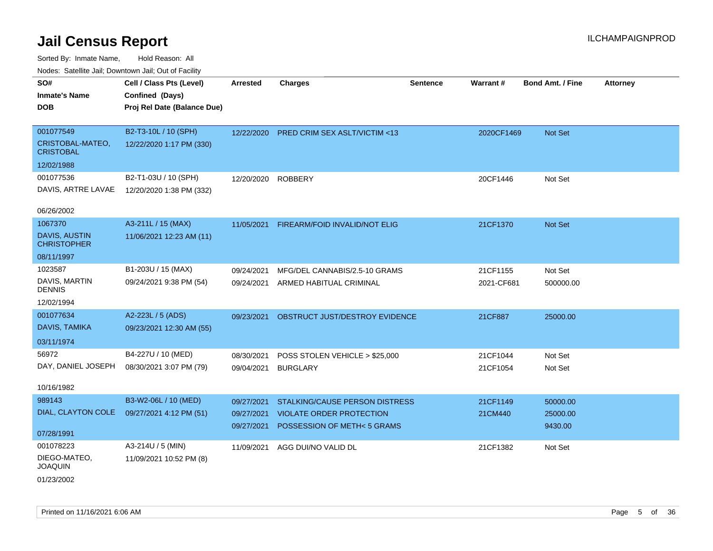| rougs. Calcinic Jan, Downtown Jan, Out of Facility |                             |                    |                                       |                 |            |                         |                 |
|----------------------------------------------------|-----------------------------|--------------------|---------------------------------------|-----------------|------------|-------------------------|-----------------|
| SO#                                                | Cell / Class Pts (Level)    | <b>Arrested</b>    | <b>Charges</b>                        | <b>Sentence</b> | Warrant#   | <b>Bond Amt. / Fine</b> | <b>Attorney</b> |
| <b>Inmate's Name</b>                               | Confined (Days)             |                    |                                       |                 |            |                         |                 |
| <b>DOB</b>                                         | Proj Rel Date (Balance Due) |                    |                                       |                 |            |                         |                 |
|                                                    |                             |                    |                                       |                 |            |                         |                 |
| 001077549                                          | B2-T3-10L / 10 (SPH)        | 12/22/2020         | PRED CRIM SEX ASLT/VICTIM <13         |                 | 2020CF1469 | Not Set                 |                 |
| CRISTOBAL-MATEO,<br><b>CRISTOBAL</b>               | 12/22/2020 1:17 PM (330)    |                    |                                       |                 |            |                         |                 |
| 12/02/1988                                         |                             |                    |                                       |                 |            |                         |                 |
| 001077536                                          | B2-T1-03U / 10 (SPH)        | 12/20/2020 ROBBERY |                                       |                 | 20CF1446   | Not Set                 |                 |
| DAVIS, ARTRE LAVAE                                 | 12/20/2020 1:38 PM (332)    |                    |                                       |                 |            |                         |                 |
|                                                    |                             |                    |                                       |                 |            |                         |                 |
| 06/26/2002                                         |                             |                    |                                       |                 |            |                         |                 |
| 1067370                                            | A3-211L / 15 (MAX)          | 11/05/2021         | FIREARM/FOID INVALID/NOT ELIG         |                 | 21CF1370   | Not Set                 |                 |
| <b>DAVIS, AUSTIN</b><br><b>CHRISTOPHER</b>         | 11/06/2021 12:23 AM (11)    |                    |                                       |                 |            |                         |                 |
| 08/11/1997                                         |                             |                    |                                       |                 |            |                         |                 |
| 1023587                                            | B1-203U / 15 (MAX)          | 09/24/2021         | MFG/DEL CANNABIS/2.5-10 GRAMS         |                 | 21CF1155   | Not Set                 |                 |
| DAVIS, MARTIN<br><b>DENNIS</b>                     | 09/24/2021 9:38 PM (54)     |                    | 09/24/2021 ARMED HABITUAL CRIMINAL    |                 | 2021-CF681 | 500000.00               |                 |
| 12/02/1994                                         |                             |                    |                                       |                 |            |                         |                 |
| 001077634                                          | A2-223L / 5 (ADS)           | 09/23/2021         | OBSTRUCT JUST/DESTROY EVIDENCE        |                 | 21CF887    | 25000.00                |                 |
| DAVIS, TAMIKA                                      | 09/23/2021 12:30 AM (55)    |                    |                                       |                 |            |                         |                 |
| 03/11/1974                                         |                             |                    |                                       |                 |            |                         |                 |
| 56972                                              | B4-227U / 10 (MED)          | 08/30/2021         | POSS STOLEN VEHICLE > \$25,000        |                 | 21CF1044   | Not Set                 |                 |
| DAY, DANIEL JOSEPH                                 | 08/30/2021 3:07 PM (79)     | 09/04/2021         | <b>BURGLARY</b>                       |                 | 21CF1054   | Not Set                 |                 |
|                                                    |                             |                    |                                       |                 |            |                         |                 |
| 10/16/1982                                         |                             |                    |                                       |                 |            |                         |                 |
| 989143                                             | B3-W2-06L / 10 (MED)        | 09/27/2021         | <b>STALKING/CAUSE PERSON DISTRESS</b> |                 | 21CF1149   | 50000.00                |                 |
| DIAL, CLAYTON COLE                                 | 09/27/2021 4:12 PM (51)     | 09/27/2021         | <b>VIOLATE ORDER PROTECTION</b>       |                 | 21CM440    | 25000.00                |                 |
|                                                    |                             | 09/27/2021         | POSSESSION OF METH<5 GRAMS            |                 |            | 9430.00                 |                 |
| 07/28/1991                                         |                             |                    |                                       |                 |            |                         |                 |
| 001078223                                          | A3-214U / 5 (MIN)           |                    | 11/09/2021 AGG DUI/NO VALID DL        |                 | 21CF1382   | Not Set                 |                 |
| DIEGO-MATEO,<br><b>JOAQUIN</b>                     | 11/09/2021 10:52 PM (8)     |                    |                                       |                 |            |                         |                 |
| 01/23/2002                                         |                             |                    |                                       |                 |            |                         |                 |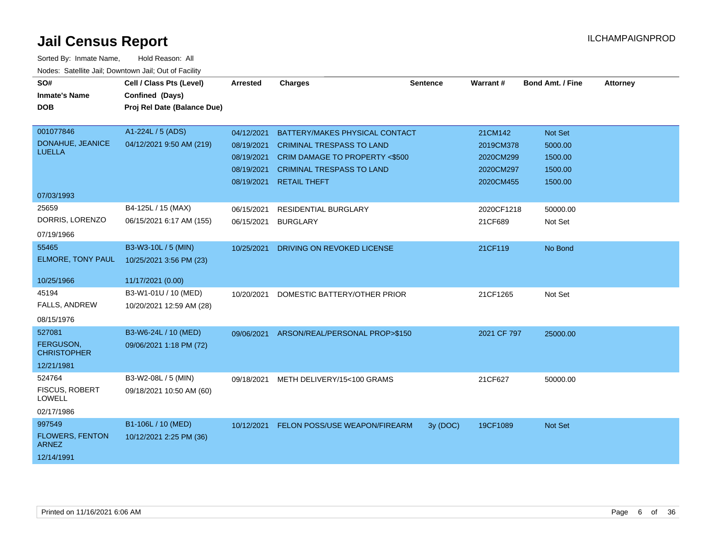| SO#<br><b>Inmate's Name</b><br><b>DOB</b>                      | Cell / Class Pts (Level)<br>Confined (Days)<br>Proj Rel Date (Balance Due) | <b>Arrested</b>                                      | <b>Charges</b>                                                                                                                                                      | <b>Sentence</b> | <b>Warrant#</b>                                             | <b>Bond Amt. / Fine</b>                             | <b>Attorney</b> |
|----------------------------------------------------------------|----------------------------------------------------------------------------|------------------------------------------------------|---------------------------------------------------------------------------------------------------------------------------------------------------------------------|-----------------|-------------------------------------------------------------|-----------------------------------------------------|-----------------|
| 001077846<br>DONAHUE, JEANICE<br><b>LUELLA</b>                 | A1-224L / 5 (ADS)<br>04/12/2021 9:50 AM (219)                              | 04/12/2021<br>08/19/2021<br>08/19/2021<br>08/19/2021 | BATTERY/MAKES PHYSICAL CONTACT<br><b>CRIMINAL TRESPASS TO LAND</b><br>CRIM DAMAGE TO PROPERTY <\$500<br><b>CRIMINAL TRESPASS TO LAND</b><br>08/19/2021 RETAIL THEFT |                 | 21CM142<br>2019CM378<br>2020CM299<br>2020CM297<br>2020CM455 | Not Set<br>5000.00<br>1500.00<br>1500.00<br>1500.00 |                 |
| 07/03/1993                                                     |                                                                            |                                                      |                                                                                                                                                                     |                 |                                                             |                                                     |                 |
| 25659<br>DORRIS, LORENZO<br>07/19/1966                         | B4-125L / 15 (MAX)<br>06/15/2021 6:17 AM (155)                             | 06/15/2021<br>06/15/2021                             | <b>RESIDENTIAL BURGLARY</b><br><b>BURGLARY</b>                                                                                                                      |                 | 2020CF1218<br>21CF689                                       | 50000.00<br>Not Set                                 |                 |
| 55465<br>ELMORE, TONY PAUL                                     | B3-W3-10L / 5 (MIN)<br>10/25/2021 3:56 PM (23)                             | 10/25/2021                                           | DRIVING ON REVOKED LICENSE                                                                                                                                          |                 | 21CF119                                                     | No Bond                                             |                 |
| 10/25/1966                                                     | 11/17/2021 (0.00)                                                          |                                                      |                                                                                                                                                                     |                 |                                                             |                                                     |                 |
| 45194<br><b>FALLS, ANDREW</b><br>08/15/1976                    | B3-W1-01U / 10 (MED)<br>10/20/2021 12:59 AM (28)                           | 10/20/2021                                           | DOMESTIC BATTERY/OTHER PRIOR                                                                                                                                        |                 | 21CF1265                                                    | Not Set                                             |                 |
| 527081<br>FERGUSON,<br><b>CHRISTOPHER</b><br>12/21/1981        | B3-W6-24L / 10 (MED)<br>09/06/2021 1:18 PM (72)                            |                                                      | 09/06/2021 ARSON/REAL/PERSONAL PROP>\$150                                                                                                                           |                 | 2021 CF 797                                                 | 25000.00                                            |                 |
| 524764<br><b>FISCUS, ROBERT</b><br><b>LOWELL</b><br>02/17/1986 | B3-W2-08L / 5 (MIN)<br>09/18/2021 10:50 AM (60)                            | 09/18/2021                                           | METH DELIVERY/15<100 GRAMS                                                                                                                                          |                 | 21CF627                                                     | 50000.00                                            |                 |
| 997549<br><b>FLOWERS, FENTON</b><br><b>ARNEZ</b><br>12/14/1991 | B1-106L / 10 (MED)<br>10/12/2021 2:25 PM (36)                              |                                                      | 10/12/2021 FELON POSS/USE WEAPON/FIREARM                                                                                                                            | 3y (DOC)        | 19CF1089                                                    | Not Set                                             |                 |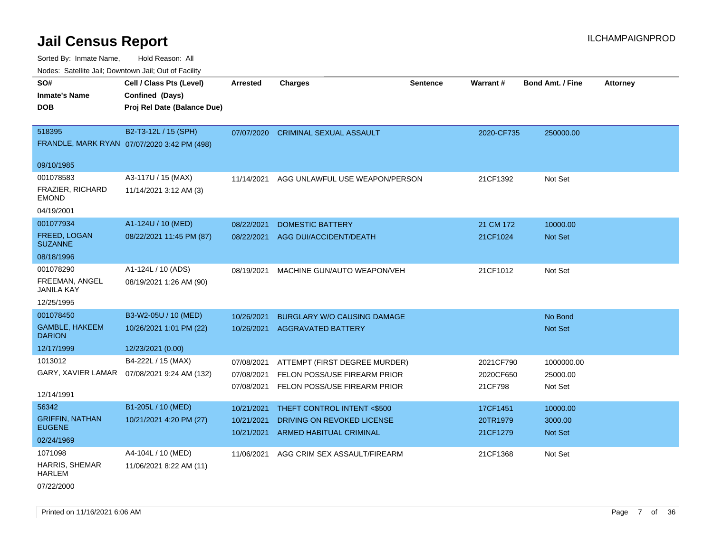| ivuutos. Saltiilit Jali, Duwilluwii Jali, Oul of Facility |                                             |            |                                    |          |            |                         |                 |
|-----------------------------------------------------------|---------------------------------------------|------------|------------------------------------|----------|------------|-------------------------|-----------------|
| SO#                                                       | Cell / Class Pts (Level)                    | Arrested   | <b>Charges</b>                     | Sentence | Warrant#   | <b>Bond Amt. / Fine</b> | <b>Attorney</b> |
| <b>Inmate's Name</b>                                      | Confined (Days)                             |            |                                    |          |            |                         |                 |
| <b>DOB</b>                                                | Proj Rel Date (Balance Due)                 |            |                                    |          |            |                         |                 |
|                                                           |                                             |            |                                    |          |            |                         |                 |
| 518395                                                    | B2-T3-12L / 15 (SPH)                        | 07/07/2020 | <b>CRIMINAL SEXUAL ASSAULT</b>     |          | 2020-CF735 | 250000.00               |                 |
|                                                           | FRANDLE, MARK RYAN 07/07/2020 3:42 PM (498) |            |                                    |          |            |                         |                 |
|                                                           |                                             |            |                                    |          |            |                         |                 |
| 09/10/1985                                                |                                             |            |                                    |          |            |                         |                 |
| 001078583                                                 | A3-117U / 15 (MAX)                          | 11/14/2021 | AGG UNLAWFUL USE WEAPON/PERSON     |          | 21CF1392   | Not Set                 |                 |
| <b>FRAZIER, RICHARD</b><br><b>EMOND</b>                   | 11/14/2021 3:12 AM (3)                      |            |                                    |          |            |                         |                 |
| 04/19/2001                                                |                                             |            |                                    |          |            |                         |                 |
| 001077934                                                 | A1-124U / 10 (MED)                          | 08/22/2021 | <b>DOMESTIC BATTERY</b>            |          | 21 CM 172  | 10000.00                |                 |
| FREED, LOGAN<br><b>SUZANNE</b>                            | 08/22/2021 11:45 PM (87)                    | 08/22/2021 | AGG DUI/ACCIDENT/DEATH             |          | 21CF1024   | <b>Not Set</b>          |                 |
| 08/18/1996                                                |                                             |            |                                    |          |            |                         |                 |
| 001078290                                                 | A1-124L / 10 (ADS)                          | 08/19/2021 | MACHINE GUN/AUTO WEAPON/VEH        |          | 21CF1012   | Not Set                 |                 |
| FREEMAN, ANGEL<br><b>JANILA KAY</b>                       | 08/19/2021 1:26 AM (90)                     |            |                                    |          |            |                         |                 |
| 12/25/1995                                                |                                             |            |                                    |          |            |                         |                 |
| 001078450                                                 | B3-W2-05U / 10 (MED)                        | 10/26/2021 | <b>BURGLARY W/O CAUSING DAMAGE</b> |          |            | No Bond                 |                 |
| <b>GAMBLE, HAKEEM</b><br><b>DARION</b>                    | 10/26/2021 1:01 PM (22)                     |            | 10/26/2021 AGGRAVATED BATTERY      |          |            | Not Set                 |                 |
| 12/17/1999                                                | 12/23/2021 (0.00)                           |            |                                    |          |            |                         |                 |
| 1013012                                                   | B4-222L / 15 (MAX)                          | 07/08/2021 | ATTEMPT (FIRST DEGREE MURDER)      |          | 2021CF790  | 1000000.00              |                 |
| GARY, XAVIER LAMAR                                        | 07/08/2021 9:24 AM (132)                    | 07/08/2021 | FELON POSS/USE FIREARM PRIOR       |          | 2020CF650  | 25000.00                |                 |
|                                                           |                                             | 07/08/2021 | FELON POSS/USE FIREARM PRIOR       |          | 21CF798    | Not Set                 |                 |
| 12/14/1991                                                |                                             |            |                                    |          |            |                         |                 |
| 56342                                                     | B1-205L / 10 (MED)                          | 10/21/2021 | THEFT CONTROL INTENT <\$500        |          | 17CF1451   | 10000.00                |                 |
| <b>GRIFFIN, NATHAN</b>                                    | 10/21/2021 4:20 PM (27)                     | 10/21/2021 | DRIVING ON REVOKED LICENSE         |          | 20TR1979   | 3000.00                 |                 |
| <b>EUGENE</b>                                             |                                             | 10/21/2021 | <b>ARMED HABITUAL CRIMINAL</b>     |          | 21CF1279   | Not Set                 |                 |
| 02/24/1969                                                |                                             |            |                                    |          |            |                         |                 |
| 1071098                                                   | A4-104L / 10 (MED)                          | 11/06/2021 | AGG CRIM SEX ASSAULT/FIREARM       |          | 21CF1368   | Not Set                 |                 |
| HARRIS, SHEMAR<br><b>HARLEM</b>                           | 11/06/2021 8:22 AM (11)                     |            |                                    |          |            |                         |                 |
| 07/22/2000                                                |                                             |            |                                    |          |            |                         |                 |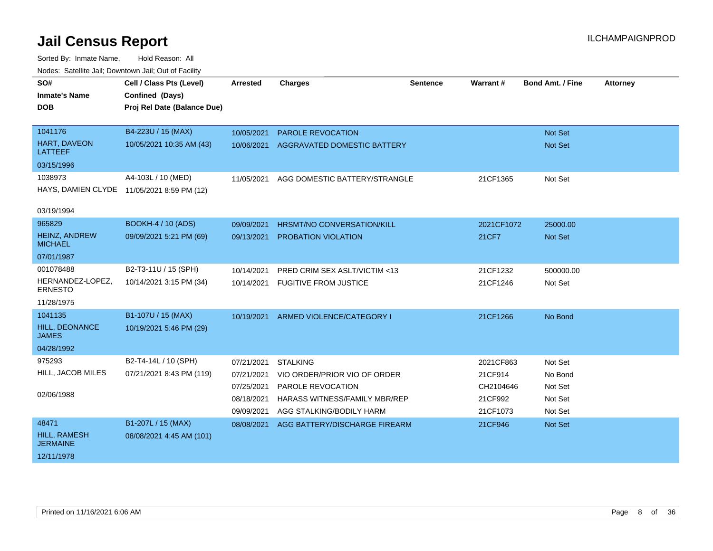| SO#                                    | Cell / Class Pts (Level)                   | <b>Arrested</b> | <b>Charges</b>                | <b>Sentence</b> | <b>Warrant#</b> | <b>Bond Amt. / Fine</b> | <b>Attorney</b> |
|----------------------------------------|--------------------------------------------|-----------------|-------------------------------|-----------------|-----------------|-------------------------|-----------------|
| <b>Inmate's Name</b>                   | Confined (Days)                            |                 |                               |                 |                 |                         |                 |
| <b>DOB</b>                             | Proj Rel Date (Balance Due)                |                 |                               |                 |                 |                         |                 |
|                                        |                                            |                 |                               |                 |                 |                         |                 |
| 1041176                                | B4-223U / 15 (MAX)                         | 10/05/2021      | PAROLE REVOCATION             |                 |                 | <b>Not Set</b>          |                 |
| <b>HART, DAVEON</b><br><b>LATTEEF</b>  | 10/05/2021 10:35 AM (43)                   | 10/06/2021      | AGGRAVATED DOMESTIC BATTERY   |                 |                 | Not Set                 |                 |
| 03/15/1996                             |                                            |                 |                               |                 |                 |                         |                 |
| 1038973                                | A4-103L / 10 (MED)                         | 11/05/2021      | AGG DOMESTIC BATTERY/STRANGLE |                 | 21CF1365        | Not Set                 |                 |
|                                        | HAYS, DAMIEN CLYDE 11/05/2021 8:59 PM (12) |                 |                               |                 |                 |                         |                 |
| 03/19/1994                             |                                            |                 |                               |                 |                 |                         |                 |
| 965829                                 | <b>BOOKH-4 / 10 (ADS)</b>                  | 09/09/2021      | HRSMT/NO CONVERSATION/KILL    |                 | 2021CF1072      | 25000.00                |                 |
| <b>HEINZ, ANDREW</b><br><b>MICHAEL</b> | 09/09/2021 5:21 PM (69)                    | 09/13/2021      | PROBATION VIOLATION           |                 | 21CF7           | Not Set                 |                 |
| 07/01/1987                             |                                            |                 |                               |                 |                 |                         |                 |
| 001078488                              | B2-T3-11U / 15 (SPH)                       | 10/14/2021      | PRED CRIM SEX ASLT/VICTIM <13 |                 | 21CF1232        | 500000.00               |                 |
| HERNANDEZ-LOPEZ,<br><b>ERNESTO</b>     | 10/14/2021 3:15 PM (34)                    | 10/14/2021      | <b>FUGITIVE FROM JUSTICE</b>  |                 | 21CF1246        | Not Set                 |                 |
| 11/28/1975                             |                                            |                 |                               |                 |                 |                         |                 |
| 1041135                                | B1-107U / 15 (MAX)                         | 10/19/2021      | ARMED VIOLENCE/CATEGORY I     |                 | 21CF1266        | No Bond                 |                 |
| HILL, DEONANCE<br><b>JAMES</b>         | 10/19/2021 5:46 PM (29)                    |                 |                               |                 |                 |                         |                 |
| 04/28/1992                             |                                            |                 |                               |                 |                 |                         |                 |
| 975293                                 | B2-T4-14L / 10 (SPH)                       | 07/21/2021      | <b>STALKING</b>               |                 | 2021CF863       | Not Set                 |                 |
| HILL, JACOB MILES                      | 07/21/2021 8:43 PM (119)                   | 07/21/2021      | VIO ORDER/PRIOR VIO OF ORDER  |                 | 21CF914         | No Bond                 |                 |
|                                        |                                            | 07/25/2021      | PAROLE REVOCATION             |                 | CH2104646       | Not Set                 |                 |
| 02/06/1988                             |                                            | 08/18/2021      | HARASS WITNESS/FAMILY MBR/REP |                 | 21CF992         | Not Set                 |                 |
|                                        |                                            | 09/09/2021      | AGG STALKING/BODILY HARM      |                 | 21CF1073        | Not Set                 |                 |
| 48471                                  | B1-207L / 15 (MAX)                         | 08/08/2021      | AGG BATTERY/DISCHARGE FIREARM |                 | 21CF946         | Not Set                 |                 |
| HILL, RAMESH<br><b>JERMAINE</b>        | 08/08/2021 4:45 AM (101)                   |                 |                               |                 |                 |                         |                 |
| 12/11/1978                             |                                            |                 |                               |                 |                 |                         |                 |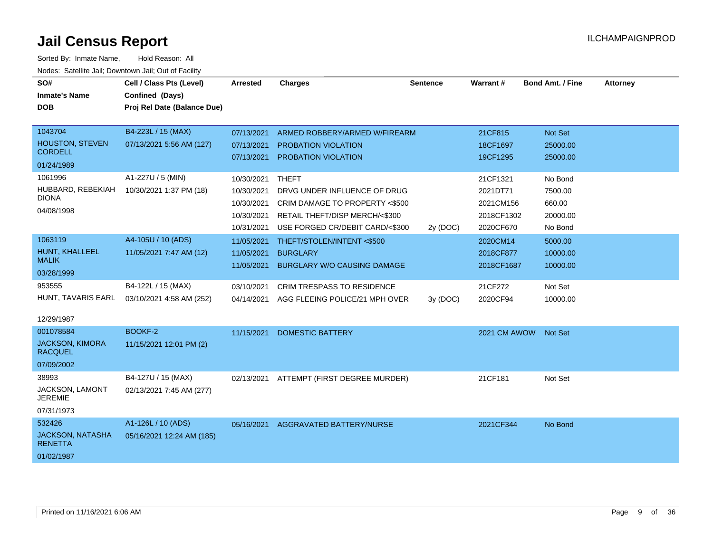| SO#                                      | Cell / Class Pts (Level)    | Arrested   | <b>Charges</b>                     | <b>Sentence</b> | Warrant#     | <b>Bond Amt. / Fine</b> | <b>Attorney</b> |
|------------------------------------------|-----------------------------|------------|------------------------------------|-----------------|--------------|-------------------------|-----------------|
| <b>Inmate's Name</b>                     | Confined (Days)             |            |                                    |                 |              |                         |                 |
| <b>DOB</b>                               | Proj Rel Date (Balance Due) |            |                                    |                 |              |                         |                 |
|                                          |                             |            |                                    |                 |              |                         |                 |
| 1043704                                  | B4-223L / 15 (MAX)          | 07/13/2021 | ARMED ROBBERY/ARMED W/FIREARM      |                 | 21CF815      | Not Set                 |                 |
| <b>HOUSTON, STEVEN</b><br><b>CORDELL</b> | 07/13/2021 5:56 AM (127)    | 07/13/2021 | <b>PROBATION VIOLATION</b>         |                 | 18CF1697     | 25000.00                |                 |
| 01/24/1989                               |                             | 07/13/2021 | PROBATION VIOLATION                |                 | 19CF1295     | 25000.00                |                 |
| 1061996                                  | A1-227U / 5 (MIN)           | 10/30/2021 | <b>THEFT</b>                       |                 | 21CF1321     | No Bond                 |                 |
| HUBBARD, REBEKIAH                        | 10/30/2021 1:37 PM (18)     | 10/30/2021 | DRVG UNDER INFLUENCE OF DRUG       |                 | 2021DT71     | 7500.00                 |                 |
| <b>DIONA</b>                             |                             | 10/30/2021 | CRIM DAMAGE TO PROPERTY <\$500     |                 | 2021CM156    | 660.00                  |                 |
| 04/08/1998                               |                             | 10/30/2021 | RETAIL THEFT/DISP MERCH/<\$300     |                 | 2018CF1302   | 20000.00                |                 |
|                                          |                             | 10/31/2021 | USE FORGED CR/DEBIT CARD/<\$300    | 2y (DOC)        | 2020CF670    | No Bond                 |                 |
| 1063119                                  | A4-105U / 10 (ADS)          | 11/05/2021 | THEFT/STOLEN/INTENT <\$500         |                 | 2020CM14     | 5000.00                 |                 |
| HUNT, KHALLEEL                           | 11/05/2021 7:47 AM (12)     | 11/05/2021 | <b>BURGLARY</b>                    |                 | 2018CF877    | 10000.00                |                 |
| <b>MALIK</b>                             |                             | 11/05/2021 | <b>BURGLARY W/O CAUSING DAMAGE</b> |                 | 2018CF1687   | 10000.00                |                 |
| 03/28/1999                               |                             |            |                                    |                 |              |                         |                 |
| 953555                                   | B4-122L / 15 (MAX)          | 03/10/2021 | <b>CRIM TRESPASS TO RESIDENCE</b>  |                 | 21CF272      | Not Set                 |                 |
| HUNT, TAVARIS EARL                       | 03/10/2021 4:58 AM (252)    | 04/14/2021 | AGG FLEEING POLICE/21 MPH OVER     | 3V (DOC)        | 2020CF94     | 10000.00                |                 |
| 12/29/1987                               |                             |            |                                    |                 |              |                         |                 |
| 001078584                                | <b>BOOKF-2</b>              | 11/15/2021 | <b>DOMESTIC BATTERY</b>            |                 | 2021 CM AWOW | <b>Not Set</b>          |                 |
| <b>JACKSON, KIMORA</b><br><b>RACQUEL</b> | 11/15/2021 12:01 PM (2)     |            |                                    |                 |              |                         |                 |
| 07/09/2002                               |                             |            |                                    |                 |              |                         |                 |
| 38993                                    | B4-127U / 15 (MAX)          | 02/13/2021 | ATTEMPT (FIRST DEGREE MURDER)      |                 | 21CF181      | Not Set                 |                 |
| JACKSON, LAMONT<br><b>JEREMIE</b>        | 02/13/2021 7:45 AM (277)    |            |                                    |                 |              |                         |                 |
| 07/31/1973                               |                             |            |                                    |                 |              |                         |                 |
| 532426                                   | A1-126L / 10 (ADS)          | 05/16/2021 | AGGRAVATED BATTERY/NURSE           |                 | 2021CF344    | No Bond                 |                 |
| JACKSON, NATASHA<br><b>RENETTA</b>       | 05/16/2021 12:24 AM (185)   |            |                                    |                 |              |                         |                 |
| 01/02/1987                               |                             |            |                                    |                 |              |                         |                 |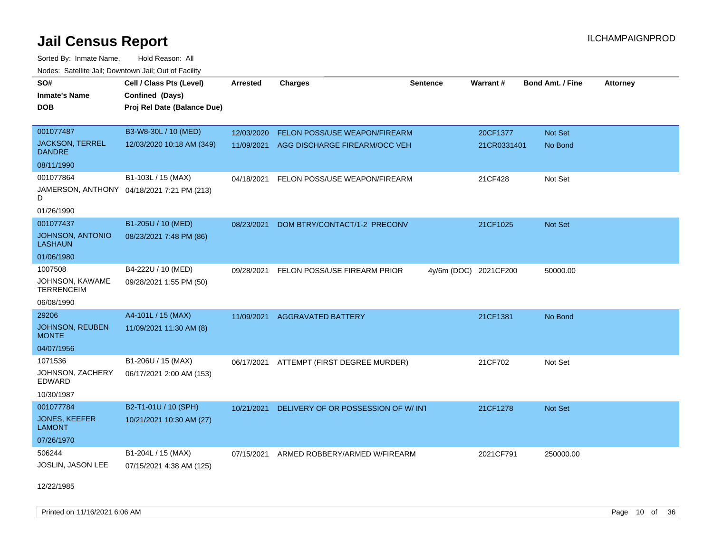Sorted By: Inmate Name, Hold Reason: All Nodes: Satellite Jail; Downtown Jail; Out of Facility

| Todoo. Catolino can, Bowritown can, Oat or I domt |                                            |                 |                                          |                 |                       |                         |                 |
|---------------------------------------------------|--------------------------------------------|-----------------|------------------------------------------|-----------------|-----------------------|-------------------------|-----------------|
| SO#                                               | Cell / Class Pts (Level)                   | <b>Arrested</b> | <b>Charges</b>                           | <b>Sentence</b> | Warrant#              | <b>Bond Amt. / Fine</b> | <b>Attorney</b> |
| Inmate's Name                                     | Confined (Days)                            |                 |                                          |                 |                       |                         |                 |
| <b>DOB</b>                                        | Proj Rel Date (Balance Due)                |                 |                                          |                 |                       |                         |                 |
|                                                   |                                            |                 |                                          |                 |                       |                         |                 |
| 001077487                                         | B3-W8-30L / 10 (MED)                       | 12/03/2020      | FELON POSS/USE WEAPON/FIREARM            |                 | 20CF1377              | Not Set                 |                 |
| <b>JACKSON, TERREL</b><br><b>DANDRE</b>           | 12/03/2020 10:18 AM (349)                  | 11/09/2021      | AGG DISCHARGE FIREARM/OCC VEH            |                 | 21CR0331401           | No Bond                 |                 |
| 08/11/1990                                        |                                            |                 |                                          |                 |                       |                         |                 |
| 001077864                                         | B1-103L / 15 (MAX)                         | 04/18/2021      | FELON POSS/USE WEAPON/FIREARM            |                 | 21CF428               | Not Set                 |                 |
| D                                                 | JAMERSON, ANTHONY 04/18/2021 7:21 PM (213) |                 |                                          |                 |                       |                         |                 |
| 01/26/1990                                        |                                            |                 |                                          |                 |                       |                         |                 |
| 001077437                                         | B1-205U / 10 (MED)                         | 08/23/2021      | DOM BTRY/CONTACT/1-2 PRECONV             |                 | 21CF1025              | <b>Not Set</b>          |                 |
| <b>JOHNSON, ANTONIO</b><br><b>LASHAUN</b>         | 08/23/2021 7:48 PM (86)                    |                 |                                          |                 |                       |                         |                 |
| 01/06/1980                                        |                                            |                 |                                          |                 |                       |                         |                 |
| 1007508                                           | B4-222U / 10 (MED)                         | 09/28/2021      | FELON POSS/USE FIREARM PRIOR             |                 | 4y/6m (DOC) 2021CF200 | 50000.00                |                 |
| JOHNSON, KAWAME<br><b>TERRENCEIM</b>              | 09/28/2021 1:55 PM (50)                    |                 |                                          |                 |                       |                         |                 |
| 06/08/1990                                        |                                            |                 |                                          |                 |                       |                         |                 |
| 29206                                             | A4-101L / 15 (MAX)                         | 11/09/2021      | <b>AGGRAVATED BATTERY</b>                |                 | 21CF1381              | No Bond                 |                 |
| <b>JOHNSON, REUBEN</b><br><b>MONTE</b>            | 11/09/2021 11:30 AM (8)                    |                 |                                          |                 |                       |                         |                 |
| 04/07/1956                                        |                                            |                 |                                          |                 |                       |                         |                 |
| 1071536                                           | B1-206U / 15 (MAX)                         |                 | 06/17/2021 ATTEMPT (FIRST DEGREE MURDER) |                 | 21CF702               | Not Set                 |                 |
| JOHNSON, ZACHERY<br>EDWARD                        | 06/17/2021 2:00 AM (153)                   |                 |                                          |                 |                       |                         |                 |
| 10/30/1987                                        |                                            |                 |                                          |                 |                       |                         |                 |
| 001077784                                         | B2-T1-01U / 10 (SPH)                       | 10/21/2021      | DELIVERY OF OR POSSESSION OF W/INT       |                 | 21CF1278              | <b>Not Set</b>          |                 |
| <b>JONES, KEEFER</b><br><b>LAMONT</b>             | 10/21/2021 10:30 AM (27)                   |                 |                                          |                 |                       |                         |                 |
| 07/26/1970                                        |                                            |                 |                                          |                 |                       |                         |                 |
| 506244                                            | B1-204L / 15 (MAX)                         | 07/15/2021      | ARMED ROBBERY/ARMED W/FIREARM            |                 | 2021CF791             | 250000.00               |                 |
| JOSLIN, JASON LEE                                 | 07/15/2021 4:38 AM (125)                   |                 |                                          |                 |                       |                         |                 |

12/22/1985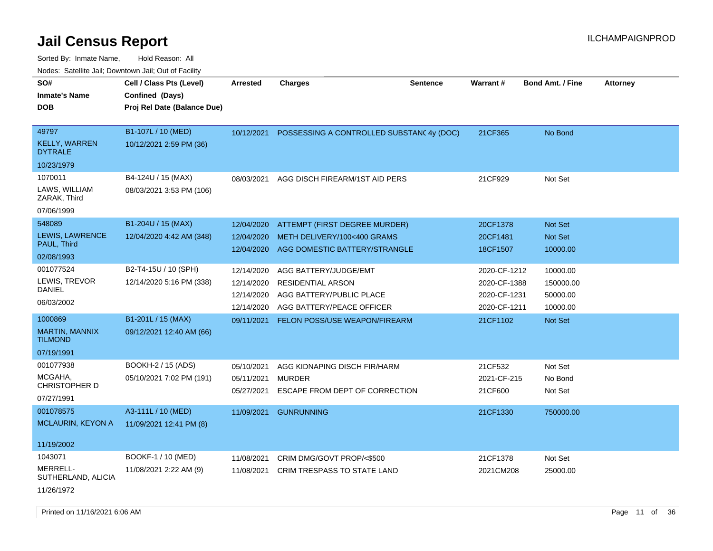| roaco. Calcinio dan, Downtown dan, Oal or Fability               |                                                                            |                                                      |                                                                                                            |                 |                                                              |                                               |                 |
|------------------------------------------------------------------|----------------------------------------------------------------------------|------------------------------------------------------|------------------------------------------------------------------------------------------------------------|-----------------|--------------------------------------------------------------|-----------------------------------------------|-----------------|
| SO#<br><b>Inmate's Name</b><br><b>DOB</b>                        | Cell / Class Pts (Level)<br>Confined (Days)<br>Proj Rel Date (Balance Due) | Arrested                                             | <b>Charges</b>                                                                                             | <b>Sentence</b> | Warrant#                                                     | <b>Bond Amt. / Fine</b>                       | <b>Attorney</b> |
| 49797<br><b>KELLY, WARREN</b><br><b>DYTRALE</b><br>10/23/1979    | B1-107L / 10 (MED)<br>10/12/2021 2:59 PM (36)                              | 10/12/2021                                           | POSSESSING A CONTROLLED SUBSTAN(4y (DOC)                                                                   |                 | 21CF365                                                      | No Bond                                       |                 |
| 1070011<br>LAWS, WILLIAM<br>ZARAK, Third<br>07/06/1999           | B4-124U / 15 (MAX)<br>08/03/2021 3:53 PM (106)                             | 08/03/2021                                           | AGG DISCH FIREARM/1ST AID PERS                                                                             |                 | 21CF929                                                      | Not Set                                       |                 |
| 548089<br>LEWIS, LAWRENCE<br>PAUL, Third<br>02/08/1993           | B1-204U / 15 (MAX)<br>12/04/2020 4:42 AM (348)                             | 12/04/2020<br>12/04/2020<br>12/04/2020               | ATTEMPT (FIRST DEGREE MURDER)<br>METH DELIVERY/100<400 GRAMS<br>AGG DOMESTIC BATTERY/STRANGLE              |                 | 20CF1378<br>20CF1481<br>18CF1507                             | Not Set<br>Not Set<br>10000.00                |                 |
| 001077524<br>LEWIS, TREVOR<br>DANIEL<br>06/03/2002               | B2-T4-15U / 10 (SPH)<br>12/14/2020 5:16 PM (338)                           | 12/14/2020<br>12/14/2020<br>12/14/2020<br>12/14/2020 | AGG BATTERY/JUDGE/EMT<br><b>RESIDENTIAL ARSON</b><br>AGG BATTERY/PUBLIC PLACE<br>AGG BATTERY/PEACE OFFICER |                 | 2020-CF-1212<br>2020-CF-1388<br>2020-CF-1231<br>2020-CF-1211 | 10000.00<br>150000.00<br>50000.00<br>10000.00 |                 |
| 1000869<br><b>MARTIN, MANNIX</b><br><b>TILMOND</b><br>07/19/1991 | B1-201L / 15 (MAX)<br>09/12/2021 12:40 AM (66)                             | 09/11/2021                                           | FELON POSS/USE WEAPON/FIREARM                                                                              |                 | 21CF1102                                                     | <b>Not Set</b>                                |                 |
| 001077938<br>MCGAHA,<br><b>CHRISTOPHER D</b><br>07/27/1991       | BOOKH-2 / 15 (ADS)<br>05/10/2021 7:02 PM (191)                             | 05/10/2021<br>05/11/2021<br>05/27/2021               | AGG KIDNAPING DISCH FIR/HARM<br><b>MURDER</b><br>ESCAPE FROM DEPT OF CORRECTION                            |                 | 21CF532<br>2021-CF-215<br>21CF600                            | Not Set<br>No Bond<br>Not Set                 |                 |
| 001078575<br><b>MCLAURIN, KEYON A</b><br>11/19/2002              | A3-111L / 10 (MED)<br>11/09/2021 12:41 PM (8)                              | 11/09/2021                                           | <b>GUNRUNNING</b>                                                                                          |                 | 21CF1330                                                     | 750000.00                                     |                 |
| 1043071<br>MERRELL-<br>SUTHERLAND, ALICIA<br>11/26/1972          | BOOKF-1 / 10 (MED)<br>11/08/2021 2:22 AM (9)                               | 11/08/2021<br>11/08/2021                             | CRIM DMG/GOVT PROP/<\$500<br><b>CRIM TRESPASS TO STATE LAND</b>                                            |                 | 21CF1378<br>2021CM208                                        | Not Set<br>25000.00                           |                 |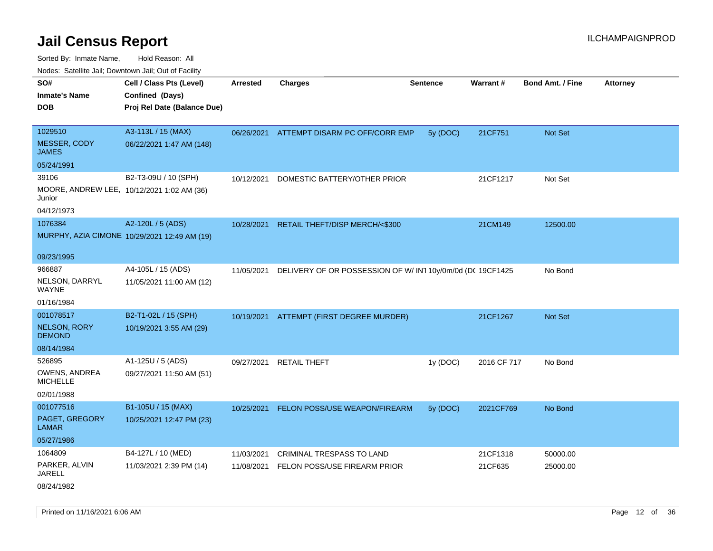| roaco. Catolino dall, Downtown dall, Out of Fability |                                              |                 |                                                          |                 |                 |                         |                 |
|------------------------------------------------------|----------------------------------------------|-----------------|----------------------------------------------------------|-----------------|-----------------|-------------------------|-----------------|
| SO#                                                  | Cell / Class Pts (Level)                     | <b>Arrested</b> | <b>Charges</b>                                           | <b>Sentence</b> | <b>Warrant#</b> | <b>Bond Amt. / Fine</b> | <b>Attorney</b> |
| <b>Inmate's Name</b>                                 | Confined (Days)                              |                 |                                                          |                 |                 |                         |                 |
| <b>DOB</b>                                           | Proj Rel Date (Balance Due)                  |                 |                                                          |                 |                 |                         |                 |
|                                                      |                                              |                 |                                                          |                 |                 |                         |                 |
| 1029510                                              | A3-113L / 15 (MAX)                           |                 | 06/26/2021 ATTEMPT DISARM PC OFF/CORR EMP                | 5y (DOC)        | 21CF751         | Not Set                 |                 |
| MESSER, CODY<br><b>JAMES</b>                         | 06/22/2021 1:47 AM (148)                     |                 |                                                          |                 |                 |                         |                 |
| 05/24/1991                                           |                                              |                 |                                                          |                 |                 |                         |                 |
| 39106                                                | B2-T3-09U / 10 (SPH)                         | 10/12/2021      | DOMESTIC BATTERY/OTHER PRIOR                             |                 | 21CF1217        | Not Set                 |                 |
| MOORE, ANDREW LEE, 10/12/2021 1:02 AM (36)<br>Junior |                                              |                 |                                                          |                 |                 |                         |                 |
| 04/12/1973                                           |                                              |                 |                                                          |                 |                 |                         |                 |
| 1076384                                              | A2-120L / 5 (ADS)                            | 10/28/2021      | RETAIL THEFT/DISP MERCH/<\$300                           |                 | 21CM149         | 12500.00                |                 |
|                                                      | MURPHY, AZIA CIMONE 10/29/2021 12:49 AM (19) |                 |                                                          |                 |                 |                         |                 |
|                                                      |                                              |                 |                                                          |                 |                 |                         |                 |
| 09/23/1995                                           |                                              |                 |                                                          |                 |                 |                         |                 |
| 966887                                               | A4-105L / 15 (ADS)                           | 11/05/2021      | DELIVERY OF OR POSSESSION OF W/IN110y/0m/0d (DC 19CF1425 |                 |                 | No Bond                 |                 |
| NELSON, DARRYL<br><b>WAYNE</b>                       | 11/05/2021 11:00 AM (12)                     |                 |                                                          |                 |                 |                         |                 |
| 01/16/1984                                           |                                              |                 |                                                          |                 |                 |                         |                 |
| 001078517                                            | B2-T1-02L / 15 (SPH)                         |                 | 10/19/2021 ATTEMPT (FIRST DEGREE MURDER)                 |                 | 21CF1267        | Not Set                 |                 |
| <b>NELSON, RORY</b><br><b>DEMOND</b>                 | 10/19/2021 3:55 AM (29)                      |                 |                                                          |                 |                 |                         |                 |
| 08/14/1984                                           |                                              |                 |                                                          |                 |                 |                         |                 |
| 526895                                               | A1-125U / 5 (ADS)                            | 09/27/2021      | <b>RETAIL THEFT</b>                                      | 1y (DOC)        | 2016 CF 717     | No Bond                 |                 |
| OWENS, ANDREA<br><b>MICHELLE</b>                     | 09/27/2021 11:50 AM (51)                     |                 |                                                          |                 |                 |                         |                 |
| 02/01/1988                                           |                                              |                 |                                                          |                 |                 |                         |                 |
| 001077516                                            | B1-105U / 15 (MAX)                           | 10/25/2021      | FELON POSS/USE WEAPON/FIREARM                            | 5y (DOC)        | 2021CF769       | No Bond                 |                 |
| PAGET, GREGORY<br><b>LAMAR</b>                       | 10/25/2021 12:47 PM (23)                     |                 |                                                          |                 |                 |                         |                 |
| 05/27/1986                                           |                                              |                 |                                                          |                 |                 |                         |                 |
| 1064809                                              | B4-127L / 10 (MED)                           | 11/03/2021      | CRIMINAL TRESPASS TO LAND                                |                 | 21CF1318        | 50000.00                |                 |
| PARKER, ALVIN<br>JARELL                              | 11/03/2021 2:39 PM (14)                      | 11/08/2021      | FELON POSS/USE FIREARM PRIOR                             |                 | 21CF635         | 25000.00                |                 |
| 08/24/1982                                           |                                              |                 |                                                          |                 |                 |                         |                 |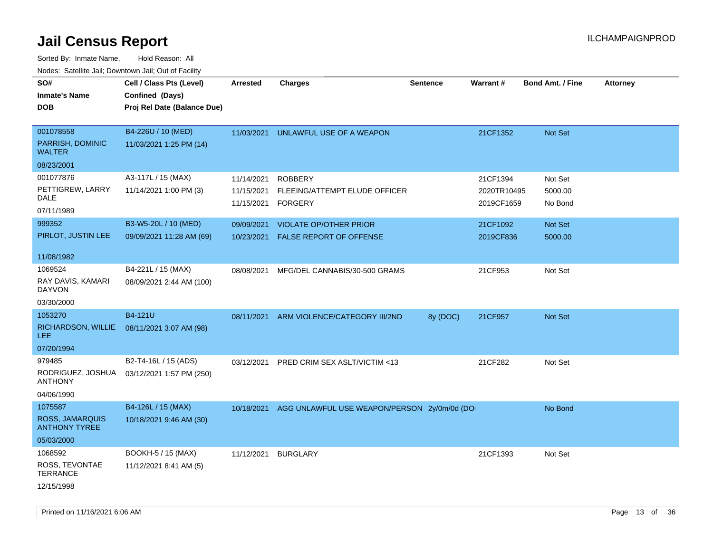| Todoo. Catolino can, Bowritown can, Oat or I domt<br>SO#<br><b>Inmate's Name</b><br><b>DOB</b> | Cell / Class Pts (Level)<br>Confined (Days)<br>Proj Rel Date (Balance Due) | <b>Arrested</b>                        | <b>Charges</b>                                                    | <b>Sentence</b> | Warrant#                              | <b>Bond Amt. / Fine</b>       | <b>Attorney</b> |
|------------------------------------------------------------------------------------------------|----------------------------------------------------------------------------|----------------------------------------|-------------------------------------------------------------------|-----------------|---------------------------------------|-------------------------------|-----------------|
| 001078558<br>PARRISH, DOMINIC<br><b>WALTER</b>                                                 | B4-226U / 10 (MED)<br>11/03/2021 1:25 PM (14)                              | 11/03/2021                             | UNLAWFUL USE OF A WEAPON                                          |                 | 21CF1352                              | <b>Not Set</b>                |                 |
| 08/23/2001                                                                                     |                                                                            |                                        |                                                                   |                 |                                       |                               |                 |
| 001077876<br>PETTIGREW, LARRY<br>DALE<br>07/11/1989                                            | A3-117L / 15 (MAX)<br>11/14/2021 1:00 PM (3)                               | 11/14/2021<br>11/15/2021<br>11/15/2021 | <b>ROBBERY</b><br>FLEEING/ATTEMPT ELUDE OFFICER<br><b>FORGERY</b> |                 | 21CF1394<br>2020TR10495<br>2019CF1659 | Not Set<br>5000.00<br>No Bond |                 |
| 999352<br>PIRLOT, JUSTIN LEE                                                                   | B3-W5-20L / 10 (MED)<br>09/09/2021 11:28 AM (69)                           | 09/09/2021<br>10/23/2021               | <b>VIOLATE OP/OTHER PRIOR</b><br><b>FALSE REPORT OF OFFENSE</b>   |                 | 21CF1092<br>2019CF836                 | Not Set<br>5000.00            |                 |
| 11/08/1982                                                                                     |                                                                            |                                        |                                                                   |                 |                                       |                               |                 |
| 1069524<br>RAY DAVIS, KAMARI<br><b>DAYVON</b><br>03/30/2000                                    | B4-221L / 15 (MAX)<br>08/09/2021 2:44 AM (100)                             | 08/08/2021                             | MFG/DEL CANNABIS/30-500 GRAMS                                     |                 | 21CF953                               | Not Set                       |                 |
| 1053270                                                                                        | B4-121U                                                                    |                                        |                                                                   |                 |                                       |                               |                 |
| RICHARDSON, WILLIE<br><b>LEE</b>                                                               | 08/11/2021 3:07 AM (98)                                                    | 08/11/2021                             | ARM VIOLENCE/CATEGORY III/2ND                                     | 8y (DOC)        | 21CF957                               | Not Set                       |                 |
| 07/20/1994                                                                                     |                                                                            |                                        |                                                                   |                 |                                       |                               |                 |
| 979485<br>RODRIGUEZ, JOSHUA<br><b>ANTHONY</b><br>04/06/1990                                    | B2-T4-16L / 15 (ADS)<br>03/12/2021 1:57 PM (250)                           | 03/12/2021                             | PRED CRIM SEX ASLT/VICTIM <13                                     |                 | 21CF282                               | Not Set                       |                 |
| 1075587                                                                                        | B4-126L / 15 (MAX)                                                         | 10/18/2021                             | AGG UNLAWFUL USE WEAPON/PERSON 2y/0m/0d (DO                       |                 |                                       | No Bond                       |                 |
| ROSS, JAMARQUIS<br><b>ANTHONY TYREE</b>                                                        | 10/18/2021 9:46 AM (30)                                                    |                                        |                                                                   |                 |                                       |                               |                 |
| 05/03/2000                                                                                     |                                                                            |                                        |                                                                   |                 |                                       |                               |                 |
| 1068592                                                                                        | BOOKH-5 / 15 (MAX)                                                         | 11/12/2021                             | <b>BURGLARY</b>                                                   |                 | 21CF1393                              | Not Set                       |                 |
| ROSS, TEVONTAE<br><b>TERRANCE</b><br>12/15/1998                                                | 11/12/2021 8:41 AM (5)                                                     |                                        |                                                                   |                 |                                       |                               |                 |
|                                                                                                |                                                                            |                                        |                                                                   |                 |                                       |                               |                 |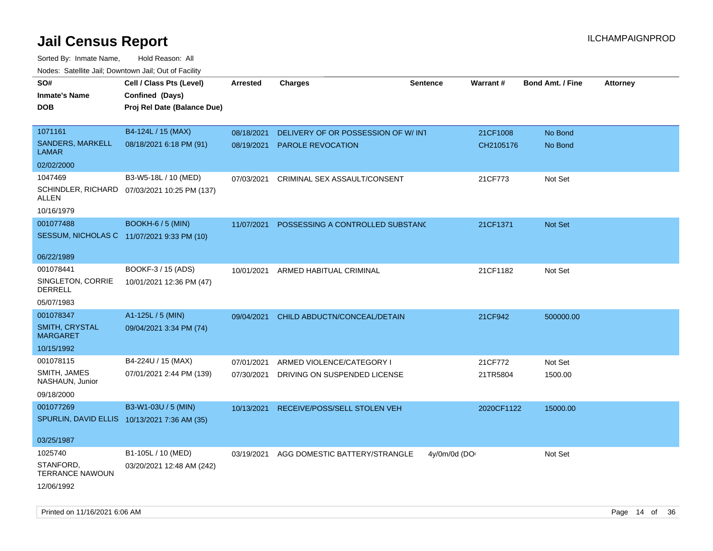| Todoo. Catolino can, Bowritown can, Oat or I domt<br>SO#<br><b>Inmate's Name</b><br><b>DOB</b> | Cell / Class Pts (Level)<br>Confined (Days)<br>Proj Rel Date (Balance Due) | Arrested   | <b>Charges</b>                           | <b>Sentence</b> | <b>Warrant#</b> | <b>Bond Amt. / Fine</b> | <b>Attorney</b> |
|------------------------------------------------------------------------------------------------|----------------------------------------------------------------------------|------------|------------------------------------------|-----------------|-----------------|-------------------------|-----------------|
| 1071161                                                                                        | B4-124L / 15 (MAX)                                                         | 08/18/2021 | DELIVERY OF OR POSSESSION OF W/ INT      |                 | 21CF1008        | No Bond                 |                 |
| SANDERS, MARKELL<br>LAMAR                                                                      | 08/18/2021 6:18 PM (91)                                                    | 08/19/2021 | <b>PAROLE REVOCATION</b>                 |                 | CH2105176       | No Bond                 |                 |
| 02/02/2000                                                                                     |                                                                            |            |                                          |                 |                 |                         |                 |
| 1047469                                                                                        | B3-W5-18L / 10 (MED)                                                       | 07/03/2021 | CRIMINAL SEX ASSAULT/CONSENT             |                 | 21CF773         | Not Set                 |                 |
| ALLEN                                                                                          | SCHINDLER, RICHARD 07/03/2021 10:25 PM (137)                               |            |                                          |                 |                 |                         |                 |
| 10/16/1979                                                                                     |                                                                            |            |                                          |                 |                 |                         |                 |
| 001077488                                                                                      | BOOKH-6 / 5 (MIN)                                                          | 11/07/2021 | POSSESSING A CONTROLLED SUBSTANC         |                 | 21CF1371        | Not Set                 |                 |
| SESSUM, NICHOLAS C 11/07/2021 9:33 PM (10)                                                     |                                                                            |            |                                          |                 |                 |                         |                 |
| 06/22/1989                                                                                     |                                                                            |            |                                          |                 |                 |                         |                 |
| 001078441                                                                                      | BOOKF-3 / 15 (ADS)                                                         | 10/01/2021 | ARMED HABITUAL CRIMINAL                  |                 | 21CF1182        | Not Set                 |                 |
| SINGLETON, CORRIE<br><b>DERRELL</b>                                                            | 10/01/2021 12:36 PM (47)                                                   |            |                                          |                 |                 |                         |                 |
| 05/07/1983                                                                                     |                                                                            |            |                                          |                 |                 |                         |                 |
| 001078347                                                                                      | A1-125L / 5 (MIN)                                                          | 09/04/2021 | CHILD ABDUCTN/CONCEAL/DETAIN             |                 | 21CF942         | 500000.00               |                 |
| <b>SMITH, CRYSTAL</b><br><b>MARGARET</b>                                                       | 09/04/2021 3:34 PM (74)                                                    |            |                                          |                 |                 |                         |                 |
| 10/15/1992                                                                                     |                                                                            |            |                                          |                 |                 |                         |                 |
| 001078115                                                                                      | B4-224U / 15 (MAX)                                                         | 07/01/2021 | ARMED VIOLENCE/CATEGORY I                |                 | 21CF772         | Not Set                 |                 |
| SMITH, JAMES<br>NASHAUN, Junior                                                                | 07/01/2021 2:44 PM (139)                                                   | 07/30/2021 | DRIVING ON SUSPENDED LICENSE             |                 | 21TR5804        | 1500.00                 |                 |
| 09/18/2000                                                                                     |                                                                            |            |                                          |                 |                 |                         |                 |
| 001077269                                                                                      | B3-W1-03U / 5 (MIN)                                                        | 10/13/2021 | RECEIVE/POSS/SELL STOLEN VEH             |                 | 2020CF1122      | 15000.00                |                 |
| SPURLIN, DAVID ELLIS 10/13/2021 7:36 AM (35)                                                   |                                                                            |            |                                          |                 |                 |                         |                 |
| 03/25/1987                                                                                     |                                                                            |            |                                          |                 |                 |                         |                 |
| 1025740                                                                                        | B1-105L / 10 (MED)                                                         |            | 03/19/2021 AGG DOMESTIC BATTERY/STRANGLE | 4y/0m/0d (DO    |                 | Not Set                 |                 |
| STANFORD,<br><b>TERRANCE NAWOUN</b>                                                            | 03/20/2021 12:48 AM (242)                                                  |            |                                          |                 |                 |                         |                 |
| 12/06/1992                                                                                     |                                                                            |            |                                          |                 |                 |                         |                 |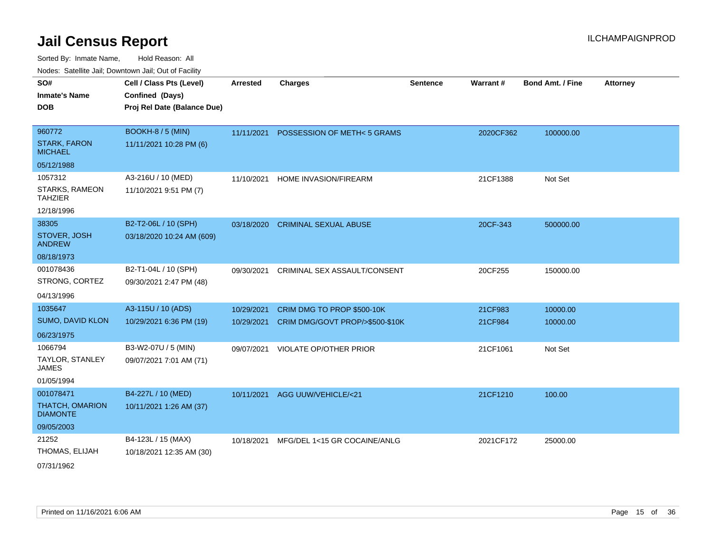Sorted By: Inmate Name, Hold Reason: All Nodes: Satellite Jail; Downtown Jail; Out of Facility

|                                           | <b>Neget Calculus Vall, Downlown Vall, Out of Fability</b> |            |                                 |          |                 |                         |                 |
|-------------------------------------------|------------------------------------------------------------|------------|---------------------------------|----------|-----------------|-------------------------|-----------------|
| SO#                                       | Cell / Class Pts (Level)                                   | Arrested   | <b>Charges</b>                  | Sentence | <b>Warrant#</b> | <b>Bond Amt. / Fine</b> | <b>Attorney</b> |
| <b>Inmate's Name</b>                      | Confined (Days)                                            |            |                                 |          |                 |                         |                 |
| <b>DOB</b>                                | Proj Rel Date (Balance Due)                                |            |                                 |          |                 |                         |                 |
|                                           |                                                            |            |                                 |          |                 |                         |                 |
| 960772                                    | <b>BOOKH-8 / 5 (MIN)</b>                                   | 11/11/2021 | POSSESSION OF METH<5 GRAMS      |          | 2020CF362       | 100000.00               |                 |
| <b>STARK, FARON</b><br><b>MICHAEL</b>     | 11/11/2021 10:28 PM (6)                                    |            |                                 |          |                 |                         |                 |
| 05/12/1988                                |                                                            |            |                                 |          |                 |                         |                 |
| 1057312                                   | A3-216U / 10 (MED)                                         | 11/10/2021 | HOME INVASION/FIREARM           |          | 21CF1388        | Not Set                 |                 |
| STARKS, RAMEON<br>TAHZIER                 | 11/10/2021 9:51 PM (7)                                     |            |                                 |          |                 |                         |                 |
| 12/18/1996                                |                                                            |            |                                 |          |                 |                         |                 |
| 38305                                     | B2-T2-06L / 10 (SPH)                                       | 03/18/2020 | <b>CRIMINAL SEXUAL ABUSE</b>    |          | 20CF-343        | 500000.00               |                 |
| STOVER, JOSH<br><b>ANDREW</b>             | 03/18/2020 10:24 AM (609)                                  |            |                                 |          |                 |                         |                 |
| 08/18/1973                                |                                                            |            |                                 |          |                 |                         |                 |
| 001078436                                 | B2-T1-04L / 10 (SPH)                                       | 09/30/2021 | CRIMINAL SEX ASSAULT/CONSENT    |          | 20CF255         | 150000.00               |                 |
| STRONG, CORTEZ                            | 09/30/2021 2:47 PM (48)                                    |            |                                 |          |                 |                         |                 |
| 04/13/1996                                |                                                            |            |                                 |          |                 |                         |                 |
| 1035647                                   | A3-115U / 10 (ADS)                                         | 10/29/2021 | CRIM DMG TO PROP \$500-10K      |          | 21CF983         | 10000.00                |                 |
| <b>SUMO, DAVID KLON</b>                   | 10/29/2021 6:36 PM (19)                                    | 10/29/2021 | CRIM DMG/GOVT PROP/>\$500-\$10K |          | 21CF984         | 10000.00                |                 |
| 06/23/1975                                |                                                            |            |                                 |          |                 |                         |                 |
| 1066794                                   | B3-W2-07U / 5 (MIN)                                        | 09/07/2021 | VIOLATE OP/OTHER PRIOR          |          | 21CF1061        | Not Set                 |                 |
| TAYLOR, STANLEY<br>JAMES                  | 09/07/2021 7:01 AM (71)                                    |            |                                 |          |                 |                         |                 |
| 01/05/1994                                |                                                            |            |                                 |          |                 |                         |                 |
| 001078471                                 | B4-227L / 10 (MED)                                         | 10/11/2021 | AGG UUW/VEHICLE/<21             |          | 21CF1210        | 100.00                  |                 |
| <b>THATCH, OMARION</b><br><b>DIAMONTE</b> | 10/11/2021 1:26 AM (37)                                    |            |                                 |          |                 |                         |                 |
| 09/05/2003                                |                                                            |            |                                 |          |                 |                         |                 |
| 21252                                     | B4-123L / 15 (MAX)                                         | 10/18/2021 | MFG/DEL 1<15 GR COCAINE/ANLG    |          | 2021CF172       | 25000.00                |                 |
| THOMAS, ELIJAH                            | 10/18/2021 12:35 AM (30)                                   |            |                                 |          |                 |                         |                 |
|                                           |                                                            |            |                                 |          |                 |                         |                 |

07/31/1962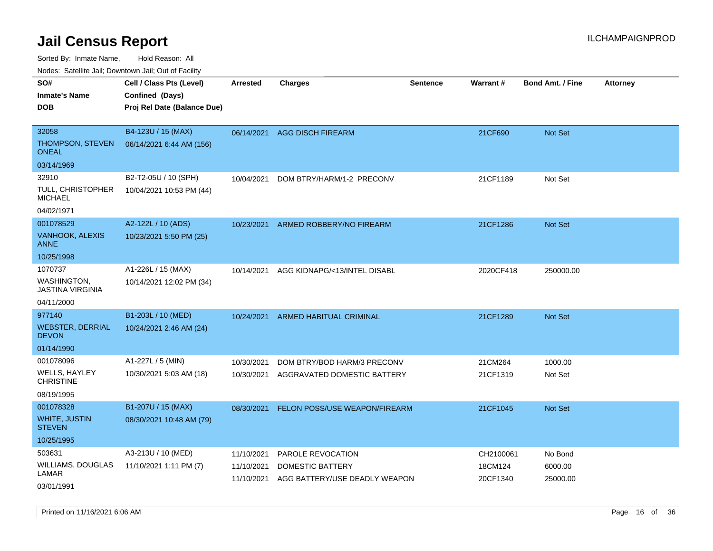Sorted By: Inmate Name, Hold Reason: All

Nodes: Satellite Jail; Downtown Jail; Out of Facility

| SO#                                           | Cell / Class Pts (Level)    | <b>Arrested</b> | <b>Charges</b>                | <b>Sentence</b> | Warrant#  | <b>Bond Amt. / Fine</b> | <b>Attorney</b> |
|-----------------------------------------------|-----------------------------|-----------------|-------------------------------|-----------------|-----------|-------------------------|-----------------|
| <b>Inmate's Name</b>                          | Confined (Days)             |                 |                               |                 |           |                         |                 |
| <b>DOB</b>                                    | Proj Rel Date (Balance Due) |                 |                               |                 |           |                         |                 |
|                                               |                             |                 |                               |                 |           |                         |                 |
| 32058                                         | B4-123U / 15 (MAX)          | 06/14/2021      | <b>AGG DISCH FIREARM</b>      |                 | 21CF690   | Not Set                 |                 |
| THOMPSON, STEVEN<br><b>ONEAL</b>              | 06/14/2021 6:44 AM (156)    |                 |                               |                 |           |                         |                 |
| 03/14/1969                                    |                             |                 |                               |                 |           |                         |                 |
| 32910                                         | B2-T2-05U / 10 (SPH)        | 10/04/2021      | DOM BTRY/HARM/1-2 PRECONV     |                 | 21CF1189  | Not Set                 |                 |
| TULL, CHRISTOPHER<br><b>MICHAEL</b>           | 10/04/2021 10:53 PM (44)    |                 |                               |                 |           |                         |                 |
| 04/02/1971                                    |                             |                 |                               |                 |           |                         |                 |
| 001078529                                     | A2-122L / 10 (ADS)          | 10/23/2021      | ARMED ROBBERY/NO FIREARM      |                 | 21CF1286  | Not Set                 |                 |
| VANHOOK, ALEXIS<br>ANNE                       | 10/23/2021 5:50 PM (25)     |                 |                               |                 |           |                         |                 |
| 10/25/1998                                    |                             |                 |                               |                 |           |                         |                 |
| 1070737                                       | A1-226L / 15 (MAX)          | 10/14/2021      | AGG KIDNAPG/<13/INTEL DISABL  |                 | 2020CF418 | 250000.00               |                 |
| <b>WASHINGTON,</b><br><b>JASTINA VIRGINIA</b> | 10/14/2021 12:02 PM (34)    |                 |                               |                 |           |                         |                 |
| 04/11/2000                                    |                             |                 |                               |                 |           |                         |                 |
| 977140                                        | B1-203L / 10 (MED)          | 10/24/2021      | ARMED HABITUAL CRIMINAL       |                 | 21CF1289  | <b>Not Set</b>          |                 |
| <b>WEBSTER, DERRIAL</b><br><b>DEVON</b>       | 10/24/2021 2:46 AM (24)     |                 |                               |                 |           |                         |                 |
| 01/14/1990                                    |                             |                 |                               |                 |           |                         |                 |
| 001078096                                     | A1-227L / 5 (MIN)           | 10/30/2021      | DOM BTRY/BOD HARM/3 PRECONV   |                 | 21CM264   | 1000.00                 |                 |
| <b>WELLS, HAYLEY</b><br><b>CHRISTINE</b>      | 10/30/2021 5:03 AM (18)     | 10/30/2021      | AGGRAVATED DOMESTIC BATTERY   |                 | 21CF1319  | Not Set                 |                 |
| 08/19/1995                                    |                             |                 |                               |                 |           |                         |                 |
| 001078328                                     | B1-207U / 15 (MAX)          | 08/30/2021      | FELON POSS/USE WEAPON/FIREARM |                 | 21CF1045  | Not Set                 |                 |
| <b>WHITE, JUSTIN</b><br><b>STEVEN</b>         | 08/30/2021 10:48 AM (79)    |                 |                               |                 |           |                         |                 |
| 10/25/1995                                    |                             |                 |                               |                 |           |                         |                 |
| 503631                                        | A3-213U / 10 (MED)          | 11/10/2021      | PAROLE REVOCATION             |                 | CH2100061 | No Bond                 |                 |
| WILLIAMS, DOUGLAS                             | 11/10/2021 1:11 PM (7)      | 11/10/2021      | DOMESTIC BATTERY              |                 | 18CM124   | 6000.00                 |                 |
| LAMAR                                         |                             | 11/10/2021      | AGG BATTERY/USE DEADLY WEAPON |                 | 20CF1340  | 25000.00                |                 |
| 03/01/1991                                    |                             |                 |                               |                 |           |                         |                 |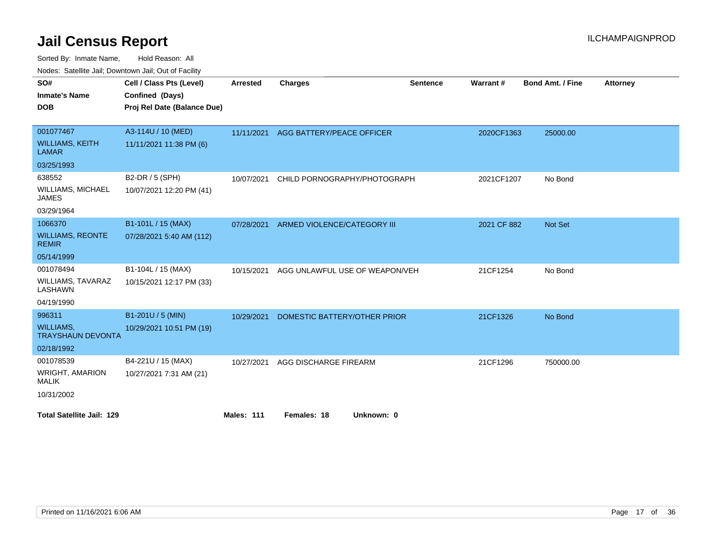Sorted By: Inmate Name, Hold Reason: All

Nodes: Satellite Jail; Downtown Jail; Out of Facility

| SO#                                          | Cell / Class Pts (Level)    | <b>Arrested</b>   | <b>Charges</b>                       | <b>Sentence</b> | Warrant#    | <b>Bond Amt. / Fine</b> | <b>Attorney</b> |
|----------------------------------------------|-----------------------------|-------------------|--------------------------------------|-----------------|-------------|-------------------------|-----------------|
| <b>Inmate's Name</b>                         | Confined (Days)             |                   |                                      |                 |             |                         |                 |
| <b>DOB</b>                                   | Proj Rel Date (Balance Due) |                   |                                      |                 |             |                         |                 |
|                                              |                             |                   |                                      |                 |             |                         |                 |
| 001077467                                    | A3-114U / 10 (MED)          |                   | 11/11/2021 AGG BATTERY/PEACE OFFICER |                 | 2020CF1363  | 25000.00                |                 |
| <b>WILLIAMS, KEITH</b><br><b>LAMAR</b>       | 11/11/2021 11:38 PM (6)     |                   |                                      |                 |             |                         |                 |
| 03/25/1993                                   |                             |                   |                                      |                 |             |                         |                 |
| 638552                                       | B2-DR / 5 (SPH)             | 10/07/2021        | CHILD PORNOGRAPHY/PHOTOGRAPH         |                 | 2021CF1207  | No Bond                 |                 |
| <b>WILLIAMS, MICHAEL</b><br><b>JAMES</b>     | 10/07/2021 12:20 PM (41)    |                   |                                      |                 |             |                         |                 |
| 03/29/1964                                   |                             |                   |                                      |                 |             |                         |                 |
| 1066370                                      | B1-101L / 15 (MAX)          | 07/28/2021        | ARMED VIOLENCE/CATEGORY III          |                 | 2021 CF 882 | Not Set                 |                 |
| <b>WILLIAMS, REONTE</b><br><b>REMIR</b>      | 07/28/2021 5:40 AM (112)    |                   |                                      |                 |             |                         |                 |
| 05/14/1999                                   |                             |                   |                                      |                 |             |                         |                 |
| 001078494                                    | B1-104L / 15 (MAX)          | 10/15/2021        | AGG UNLAWFUL USE OF WEAPON/VEH       |                 | 21CF1254    | No Bond                 |                 |
| <b>WILLIAMS, TAVARAZ</b><br>LASHAWN          | 10/15/2021 12:17 PM (33)    |                   |                                      |                 |             |                         |                 |
| 04/19/1990                                   |                             |                   |                                      |                 |             |                         |                 |
| 996311                                       | B1-201U / 5 (MIN)           | 10/29/2021        | DOMESTIC BATTERY/OTHER PRIOR         |                 | 21CF1326    | No Bond                 |                 |
| <b>WILLIAMS,</b><br><b>TRAYSHAUN DEVONTA</b> | 10/29/2021 10:51 PM (19)    |                   |                                      |                 |             |                         |                 |
| 02/18/1992                                   |                             |                   |                                      |                 |             |                         |                 |
| 001078539                                    | B4-221U / 15 (MAX)          | 10/27/2021        | AGG DISCHARGE FIREARM                |                 | 21CF1296    | 750000.00               |                 |
| <b>WRIGHT, AMARION</b><br><b>MALIK</b>       | 10/27/2021 7:31 AM (21)     |                   |                                      |                 |             |                         |                 |
| 10/31/2002                                   |                             |                   |                                      |                 |             |                         |                 |
| <b>Total Satellite Jail: 129</b>             |                             | <b>Males: 111</b> | Females: 18<br>Unknown: 0            |                 |             |                         |                 |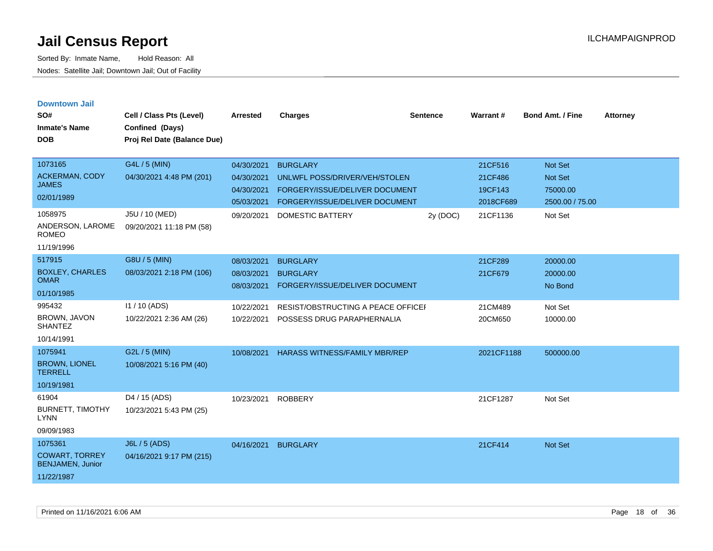| <b>Downtown Jail</b><br>SO#<br><b>Inmate's Name</b><br><b>DOB</b>                                             | Cell / Class Pts (Level)<br>Confined (Days)<br>Proj Rel Date (Balance Due)              | <b>Arrested</b>                                                    | <b>Charges</b>                                                                                                                                  | <b>Sentence</b> | Warrant#                                               | <b>Bond Amt. / Fine</b>                                                    | <b>Attorney</b> |
|---------------------------------------------------------------------------------------------------------------|-----------------------------------------------------------------------------------------|--------------------------------------------------------------------|-------------------------------------------------------------------------------------------------------------------------------------------------|-----------------|--------------------------------------------------------|----------------------------------------------------------------------------|-----------------|
| 1073165<br><b>ACKERMAN, CODY</b><br><b>JAMES</b><br>02/01/1989<br>1058975<br>ANDERSON, LAROME<br><b>ROMEO</b> | G4L / 5 (MIN)<br>04/30/2021 4:48 PM (201)<br>J5U / 10 (MED)<br>09/20/2021 11:18 PM (58) | 04/30/2021<br>04/30/2021<br>04/30/2021<br>05/03/2021<br>09/20/2021 | <b>BURGLARY</b><br>UNLWFL POSS/DRIVER/VEH/STOLEN<br>FORGERY/ISSUE/DELIVER DOCUMENT<br>FORGERY/ISSUE/DELIVER DOCUMENT<br><b>DOMESTIC BATTERY</b> | 2y (DOC)        | 21CF516<br>21CF486<br>19CF143<br>2018CF689<br>21CF1136 | <b>Not Set</b><br><b>Not Set</b><br>75000.00<br>2500.00 / 75.00<br>Not Set |                 |
| 11/19/1996<br>517915<br><b>BOXLEY, CHARLES</b><br><b>OMAR</b>                                                 | G8U / 5 (MIN)<br>08/03/2021 2:18 PM (106)                                               | 08/03/2021<br>08/03/2021<br>08/03/2021                             | <b>BURGLARY</b><br><b>BURGLARY</b><br>FORGERY/ISSUE/DELIVER DOCUMENT                                                                            |                 | 21CF289<br>21CF679                                     | 20000.00<br>20000.00<br>No Bond                                            |                 |
| 01/10/1985<br>995432<br>BROWN, JAVON<br><b>SHANTEZ</b><br>10/14/1991                                          | I1 / 10 (ADS)<br>10/22/2021 2:36 AM (26)                                                | 10/22/2021<br>10/22/2021                                           | <b>RESIST/OBSTRUCTING A PEACE OFFICER</b><br>POSSESS DRUG PARAPHERNALIA                                                                         |                 | 21CM489<br>20CM650                                     | Not Set<br>10000.00                                                        |                 |
| 1075941<br><b>BROWN, LIONEL</b><br><b>TERRELL</b><br>10/19/1981                                               | G2L / 5 (MIN)<br>10/08/2021 5:16 PM (40)                                                | 10/08/2021                                                         | <b>HARASS WITNESS/FAMILY MBR/REP</b>                                                                                                            |                 | 2021CF1188                                             | 500000.00                                                                  |                 |
| 61904<br><b>BURNETT, TIMOTHY</b><br><b>LYNN</b><br>09/09/1983                                                 | D4 / 15 (ADS)<br>10/23/2021 5:43 PM (25)                                                | 10/23/2021                                                         | <b>ROBBERY</b>                                                                                                                                  |                 | 21CF1287                                               | Not Set                                                                    |                 |
| 1075361<br><b>COWART, TORREY</b><br><b>BENJAMEN, Junior</b><br>11/22/1987                                     | J6L / 5 (ADS)<br>04/16/2021 9:17 PM (215)                                               | 04/16/2021                                                         | <b>BURGLARY</b>                                                                                                                                 |                 | 21CF414                                                | <b>Not Set</b>                                                             |                 |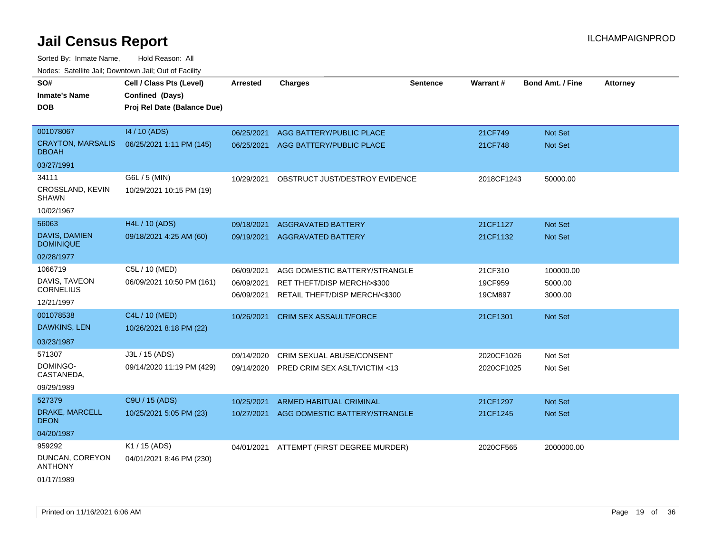Sorted By: Inmate Name, Hold Reason: All

| Nodes: Satellite Jail; Downtown Jail; Out of Facility |  |
|-------------------------------------------------------|--|
|                                                       |  |

| SO#<br><b>Inmate's Name</b><br><b>DOB</b> | Cell / Class Pts (Level)<br>Confined (Days)<br>Proj Rel Date (Balance Due) | <b>Arrested</b> | <b>Charges</b>                  | <b>Sentence</b> | Warrant#   | <b>Bond Amt. / Fine</b> | <b>Attorney</b> |
|-------------------------------------------|----------------------------------------------------------------------------|-----------------|---------------------------------|-----------------|------------|-------------------------|-----------------|
| 001078067                                 | 14 / 10 (ADS)                                                              | 06/25/2021      | <b>AGG BATTERY/PUBLIC PLACE</b> |                 | 21CF749    | Not Set                 |                 |
| <b>CRAYTON, MARSALIS</b><br><b>DBOAH</b>  | 06/25/2021 1:11 PM (145)                                                   | 06/25/2021      | AGG BATTERY/PUBLIC PLACE        |                 | 21CF748    | Not Set                 |                 |
| 03/27/1991                                |                                                                            |                 |                                 |                 |            |                         |                 |
| 34111                                     | G6L / 5 (MIN)                                                              | 10/29/2021      | OBSTRUCT JUST/DESTROY EVIDENCE  |                 | 2018CF1243 | 50000.00                |                 |
| CROSSLAND, KEVIN<br><b>SHAWN</b>          | 10/29/2021 10:15 PM (19)                                                   |                 |                                 |                 |            |                         |                 |
| 10/02/1967                                |                                                                            |                 |                                 |                 |            |                         |                 |
| 56063                                     | H4L / 10 (ADS)                                                             | 09/18/2021      | <b>AGGRAVATED BATTERY</b>       |                 | 21CF1127   | <b>Not Set</b>          |                 |
| <b>DAVIS, DAMIEN</b><br><b>DOMINIQUE</b>  | 09/18/2021 4:25 AM (60)                                                    | 09/19/2021      | <b>AGGRAVATED BATTERY</b>       |                 | 21CF1132   | Not Set                 |                 |
| 02/28/1977                                |                                                                            |                 |                                 |                 |            |                         |                 |
| 1066719                                   | C5L / 10 (MED)                                                             | 06/09/2021      | AGG DOMESTIC BATTERY/STRANGLE   |                 | 21CF310    | 100000.00               |                 |
| DAVIS, TAVEON<br><b>CORNELIUS</b>         | 06/09/2021 10:50 PM (161)                                                  | 06/09/2021      | RET THEFT/DISP MERCH/>\$300     |                 | 19CF959    | 5000.00                 |                 |
| 12/21/1997                                |                                                                            | 06/09/2021      | RETAIL THEFT/DISP MERCH/<\$300  |                 | 19CM897    | 3000.00                 |                 |
| 001078538                                 | C4L / 10 (MED)                                                             | 10/26/2021      | <b>CRIM SEX ASSAULT/FORCE</b>   |                 | 21CF1301   | Not Set                 |                 |
| DAWKINS, LEN                              | 10/26/2021 8:18 PM (22)                                                    |                 |                                 |                 |            |                         |                 |
| 03/23/1987                                |                                                                            |                 |                                 |                 |            |                         |                 |
| 571307                                    | J3L / 15 (ADS)                                                             | 09/14/2020      | CRIM SEXUAL ABUSE/CONSENT       |                 | 2020CF1026 | Not Set                 |                 |
| DOMINGO-<br>CASTANEDA,                    | 09/14/2020 11:19 PM (429)                                                  | 09/14/2020      | PRED CRIM SEX ASLT/VICTIM <13   |                 | 2020CF1025 | Not Set                 |                 |
| 09/29/1989                                |                                                                            |                 |                                 |                 |            |                         |                 |
| 527379                                    | C9U / 15 (ADS)                                                             | 10/25/2021      | ARMED HABITUAL CRIMINAL         |                 | 21CF1297   | Not Set                 |                 |
| DRAKE, MARCELL<br><b>DEON</b>             | 10/25/2021 5:05 PM (23)                                                    | 10/27/2021      | AGG DOMESTIC BATTERY/STRANGLE   |                 | 21CF1245   | Not Set                 |                 |
| 04/20/1987                                |                                                                            |                 |                                 |                 |            |                         |                 |
| 959292                                    | K1 / 15 (ADS)                                                              | 04/01/2021      | ATTEMPT (FIRST DEGREE MURDER)   |                 | 2020CF565  | 2000000.00              |                 |
| DUNCAN, COREYON<br><b>ANTHONY</b>         | 04/01/2021 8:46 PM (230)                                                   |                 |                                 |                 |            |                         |                 |

01/17/1989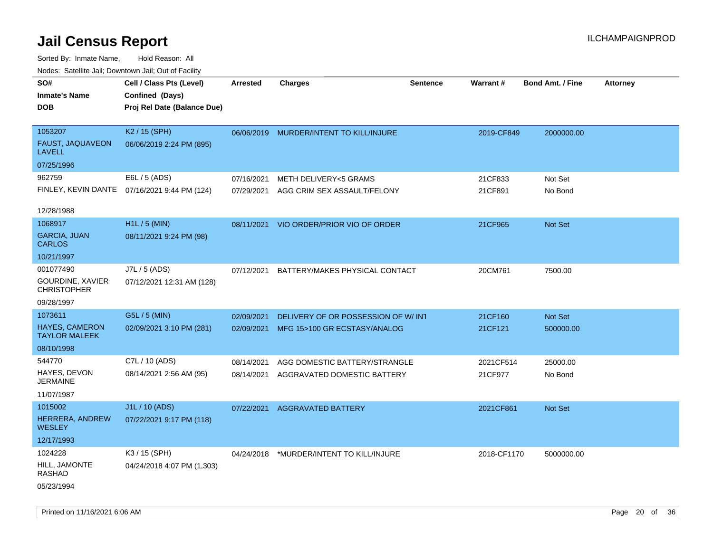| roaco. Odichile Jan, Downtown Jan, Out of Facility  |                                                                            |                 |                                         |                 |                 |                         |                 |
|-----------------------------------------------------|----------------------------------------------------------------------------|-----------------|-----------------------------------------|-----------------|-----------------|-------------------------|-----------------|
| SO#<br><b>Inmate's Name</b><br><b>DOB</b>           | Cell / Class Pts (Level)<br>Confined (Days)<br>Proj Rel Date (Balance Due) | <b>Arrested</b> | <b>Charges</b>                          | <b>Sentence</b> | <b>Warrant#</b> | <b>Bond Amt. / Fine</b> | <b>Attorney</b> |
| 1053207<br>FAUST, JAQUAVEON<br><b>LAVELL</b>        | K2 / 15 (SPH)<br>06/06/2019 2:24 PM (895)                                  |                 | 06/06/2019 MURDER/INTENT TO KILL/INJURE |                 | 2019-CF849      | 2000000.00              |                 |
| 07/25/1996                                          |                                                                            |                 |                                         |                 |                 |                         |                 |
| 962759                                              | E6L / 5 (ADS)                                                              | 07/16/2021      | <b>METH DELIVERY&lt;5 GRAMS</b>         |                 | 21CF833         | Not Set                 |                 |
|                                                     | FINLEY, KEVIN DANTE 07/16/2021 9:44 PM (124)                               | 07/29/2021      | AGG CRIM SEX ASSAULT/FELONY             |                 | 21CF891         | No Bond                 |                 |
| 12/28/1988                                          |                                                                            |                 |                                         |                 |                 |                         |                 |
| 1068917                                             | H1L / 5 (MIN)                                                              | 08/11/2021      | VIO ORDER/PRIOR VIO OF ORDER            |                 | 21CF965         | <b>Not Set</b>          |                 |
| <b>GARCIA, JUAN</b><br><b>CARLOS</b>                | 08/11/2021 9:24 PM (98)                                                    |                 |                                         |                 |                 |                         |                 |
| 10/21/1997                                          |                                                                            |                 |                                         |                 |                 |                         |                 |
| 001077490<br>GOURDINE, XAVIER<br><b>CHRISTOPHER</b> | J7L / 5 (ADS)<br>07/12/2021 12:31 AM (128)                                 | 07/12/2021      | BATTERY/MAKES PHYSICAL CONTACT          |                 | 20CM761         | 7500.00                 |                 |
| 09/28/1997                                          |                                                                            |                 |                                         |                 |                 |                         |                 |
| 1073611                                             | G5L / 5 (MIN)                                                              | 02/09/2021      | DELIVERY OF OR POSSESSION OF W/INT      |                 | 21CF160         | Not Set                 |                 |
| <b>HAYES, CAMERON</b><br><b>TAYLOR MALEEK</b>       | 02/09/2021 3:10 PM (281)                                                   | 02/09/2021      | MFG 15>100 GR ECSTASY/ANALOG            |                 | 21CF121         | 500000.00               |                 |
| 08/10/1998                                          |                                                                            |                 |                                         |                 |                 |                         |                 |
| 544770                                              | C7L / 10 (ADS)                                                             | 08/14/2021      | AGG DOMESTIC BATTERY/STRANGLE           |                 | 2021CF514       | 25000.00                |                 |
| HAYES, DEVON<br><b>JERMAINE</b>                     | 08/14/2021 2:56 AM (95)                                                    | 08/14/2021      | AGGRAVATED DOMESTIC BATTERY             |                 | 21CF977         | No Bond                 |                 |
| 11/07/1987                                          |                                                                            |                 |                                         |                 |                 |                         |                 |
| 1015002                                             | J1L / 10 (ADS)                                                             | 07/22/2021      | <b>AGGRAVATED BATTERY</b>               |                 | 2021CF861       | Not Set                 |                 |
| HERRERA, ANDREW<br><b>WESLEY</b>                    | 07/22/2021 9:17 PM (118)                                                   |                 |                                         |                 |                 |                         |                 |
| 12/17/1993                                          |                                                                            |                 |                                         |                 |                 |                         |                 |
| 1024228                                             | K3 / 15 (SPH)                                                              | 04/24/2018      | *MURDER/INTENT TO KILL/INJURE           |                 | 2018-CF1170     | 5000000.00              |                 |
| HILL, JAMONTE<br>RASHAD                             | 04/24/2018 4:07 PM (1,303)                                                 |                 |                                         |                 |                 |                         |                 |
| 05/23/1994                                          |                                                                            |                 |                                         |                 |                 |                         |                 |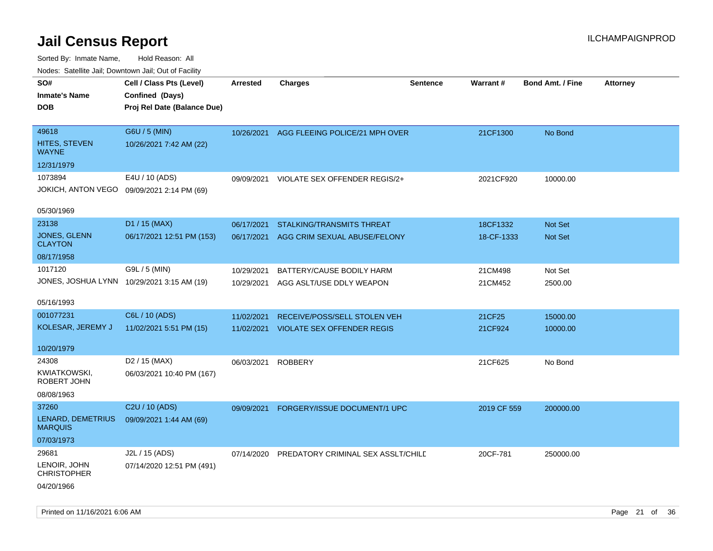| ivouss. Saleling Jali, Downtown Jali, Out of Facility |                             |            |                                    |                 |                 |                         |                 |
|-------------------------------------------------------|-----------------------------|------------|------------------------------------|-----------------|-----------------|-------------------------|-----------------|
| SO#                                                   | Cell / Class Pts (Level)    | Arrested   | <b>Charges</b>                     | <b>Sentence</b> | <b>Warrant#</b> | <b>Bond Amt. / Fine</b> | <b>Attorney</b> |
| <b>Inmate's Name</b>                                  | Confined (Days)             |            |                                    |                 |                 |                         |                 |
| <b>DOB</b>                                            | Proj Rel Date (Balance Due) |            |                                    |                 |                 |                         |                 |
|                                                       |                             |            |                                    |                 |                 |                         |                 |
| 49618                                                 | G6U / 5 (MIN)               | 10/26/2021 | AGG FLEEING POLICE/21 MPH OVER     |                 | 21CF1300        | No Bond                 |                 |
| <b>HITES, STEVEN</b><br><b>WAYNE</b>                  | 10/26/2021 7:42 AM (22)     |            |                                    |                 |                 |                         |                 |
| 12/31/1979                                            |                             |            |                                    |                 |                 |                         |                 |
| 1073894                                               | E4U / 10 (ADS)              | 09/09/2021 | VIOLATE SEX OFFENDER REGIS/2+      |                 | 2021CF920       | 10000.00                |                 |
| JOKICH, ANTON VEGO 09/09/2021 2:14 PM (69)            |                             |            |                                    |                 |                 |                         |                 |
| 05/30/1969                                            |                             |            |                                    |                 |                 |                         |                 |
| 23138                                                 | D1 / 15 (MAX)               | 06/17/2021 | <b>STALKING/TRANSMITS THREAT</b>   |                 | 18CF1332        | <b>Not Set</b>          |                 |
| JONES, GLENN<br><b>CLAYTON</b>                        | 06/17/2021 12:51 PM (153)   | 06/17/2021 | AGG CRIM SEXUAL ABUSE/FELONY       |                 | 18-CF-1333      | <b>Not Set</b>          |                 |
| 08/17/1958                                            |                             |            |                                    |                 |                 |                         |                 |
| 1017120                                               | G9L / 5 (MIN)               | 10/29/2021 | BATTERY/CAUSE BODILY HARM          |                 | 21CM498         | Not Set                 |                 |
| JONES, JOSHUA LYNN 10/29/2021 3:15 AM (19)            |                             | 10/29/2021 | AGG ASLT/USE DDLY WEAPON           |                 | 21CM452         | 2500.00                 |                 |
|                                                       |                             |            |                                    |                 |                 |                         |                 |
| 05/16/1993                                            |                             |            |                                    |                 |                 |                         |                 |
| 001077231                                             | C6L / 10 (ADS)              | 11/02/2021 | RECEIVE/POSS/SELL STOLEN VEH       |                 | 21CF25          | 15000.00                |                 |
| KOLESAR, JEREMY J                                     | 11/02/2021 5:51 PM (15)     | 11/02/2021 | <b>VIOLATE SEX OFFENDER REGIS</b>  |                 | 21CF924         | 10000.00                |                 |
|                                                       |                             |            |                                    |                 |                 |                         |                 |
| 10/20/1979                                            |                             |            |                                    |                 |                 |                         |                 |
| 24308                                                 | D <sub>2</sub> / 15 (MAX)   | 06/03/2021 | <b>ROBBERY</b>                     |                 | 21CF625         | No Bond                 |                 |
| KWIATKOWSKI,<br>ROBERT JOHN                           | 06/03/2021 10:40 PM (167)   |            |                                    |                 |                 |                         |                 |
| 08/08/1963                                            |                             |            |                                    |                 |                 |                         |                 |
| 37260                                                 | C2U / 10 (ADS)              | 09/09/2021 | FORGERY/ISSUE DOCUMENT/1 UPC       |                 | 2019 CF 559     | 200000.00               |                 |
| LENARD, DEMETRIUS                                     | 09/09/2021 1:44 AM (69)     |            |                                    |                 |                 |                         |                 |
| <b>MARQUIS</b>                                        |                             |            |                                    |                 |                 |                         |                 |
| 07/03/1973                                            |                             |            |                                    |                 |                 |                         |                 |
| 29681                                                 | J2L / 15 (ADS)              | 07/14/2020 | PREDATORY CRIMINAL SEX ASSLT/CHILD |                 | 20CF-781        | 250000.00               |                 |
| LENOIR, JOHN<br><b>CHRISTOPHER</b>                    | 07/14/2020 12:51 PM (491)   |            |                                    |                 |                 |                         |                 |
| 04/20/1966                                            |                             |            |                                    |                 |                 |                         |                 |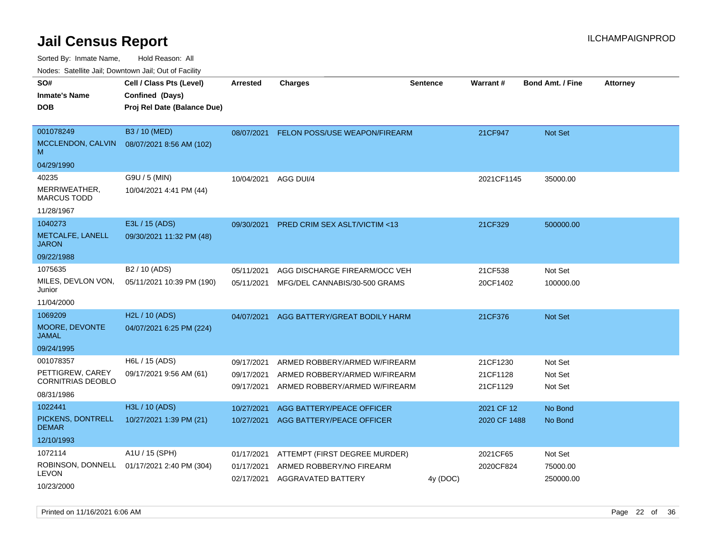Sorted By: Inmate Name, Hold Reason: All

Nodes: Satellite Jail; Downtown Jail; Out of Facility

| SO#<br><b>Inmate's Name</b><br><b>DOB</b>                               | Cell / Class Pts (Level)<br>Confined (Days)<br>Proj Rel Date (Balance Due) | <b>Arrested</b>                        | <b>Charges</b>                                                                                  | <b>Sentence</b> | <b>Warrant#</b>                  | <b>Bond Amt. / Fine</b>          | <b>Attorney</b> |
|-------------------------------------------------------------------------|----------------------------------------------------------------------------|----------------------------------------|-------------------------------------------------------------------------------------------------|-----------------|----------------------------------|----------------------------------|-----------------|
| 001078249<br>MCCLENDON, CALVIN<br>M<br>04/29/1990                       | B3 / 10 (MED)<br>08/07/2021 8:56 AM (102)                                  | 08/07/2021                             | FELON POSS/USE WEAPON/FIREARM                                                                   |                 | 21CF947                          | <b>Not Set</b>                   |                 |
| 40235<br>MERRIWEATHER,<br><b>MARCUS TODD</b><br>11/28/1967              | G9U / 5 (MIN)<br>10/04/2021 4:41 PM (44)                                   | 10/04/2021                             | AGG DUI/4                                                                                       |                 | 2021CF1145                       | 35000.00                         |                 |
| 1040273<br>METCALFE, LANELL<br><b>JARON</b><br>09/22/1988               | E3L / 15 (ADS)<br>09/30/2021 11:32 PM (48)                                 | 09/30/2021                             | PRED CRIM SEX ASLT/VICTIM <13                                                                   |                 | 21CF329                          | 500000.00                        |                 |
| 1075635<br>MILES, DEVLON VON,<br>Junior<br>11/04/2000                   | B <sub>2</sub> / 10 (ADS)<br>05/11/2021 10:39 PM (190)                     | 05/11/2021<br>05/11/2021               | AGG DISCHARGE FIREARM/OCC VEH<br>MFG/DEL CANNABIS/30-500 GRAMS                                  |                 | 21CF538<br>20CF1402              | Not Set<br>100000.00             |                 |
| 1069209<br>MOORE, DEVONTE<br><b>JAMAL</b><br>09/24/1995                 | H2L / 10 (ADS)<br>04/07/2021 6:25 PM (224)                                 | 04/07/2021                             | AGG BATTERY/GREAT BODILY HARM                                                                   |                 | 21CF376                          | Not Set                          |                 |
| 001078357<br>PETTIGREW, CAREY<br><b>CORNITRIAS DEOBLO</b><br>08/31/1986 | H6L / 15 (ADS)<br>09/17/2021 9:56 AM (61)                                  | 09/17/2021<br>09/17/2021<br>09/17/2021 | ARMED ROBBERY/ARMED W/FIREARM<br>ARMED ROBBERY/ARMED W/FIREARM<br>ARMED ROBBERY/ARMED W/FIREARM |                 | 21CF1230<br>21CF1128<br>21CF1129 | Not Set<br>Not Set<br>Not Set    |                 |
| 1022441<br>PICKENS, DONTRELL<br><b>DEMAR</b><br>12/10/1993              | H3L / 10 (ADS)<br>10/27/2021 1:39 PM (21)                                  | 10/27/2021<br>10/27/2021               | AGG BATTERY/PEACE OFFICER<br>AGG BATTERY/PEACE OFFICER                                          |                 | 2021 CF 12<br>2020 CF 1488       | No Bond<br>No Bond               |                 |
| 1072114<br>ROBINSON, DONNELL<br><b>LEVON</b><br>10/23/2000              | A1U / 15 (SPH)<br>01/17/2021 2:40 PM (304)                                 | 01/17/2021<br>01/17/2021<br>02/17/2021 | ATTEMPT (FIRST DEGREE MURDER)<br>ARMED ROBBERY/NO FIREARM<br>AGGRAVATED BATTERY                 | 4y (DOC)        | 2021CF65<br>2020CF824            | Not Set<br>75000.00<br>250000.00 |                 |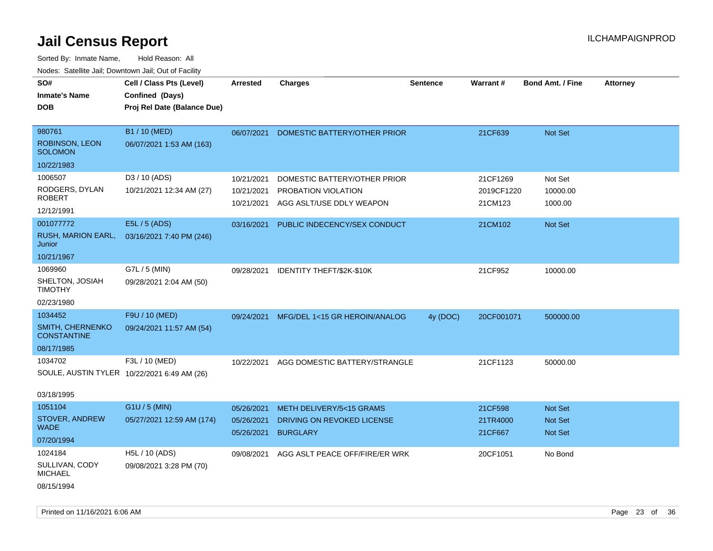| SO#                                           | Cell / Class Pts (Level)    | <b>Arrested</b>          | <b>Charges</b>                                | Sentence | Warrant#            | <b>Bond Amt. / Fine</b> | <b>Attorney</b> |
|-----------------------------------------------|-----------------------------|--------------------------|-----------------------------------------------|----------|---------------------|-------------------------|-----------------|
| <b>Inmate's Name</b>                          | Confined (Days)             |                          |                                               |          |                     |                         |                 |
| <b>DOB</b>                                    | Proj Rel Date (Balance Due) |                          |                                               |          |                     |                         |                 |
|                                               |                             |                          |                                               |          |                     |                         |                 |
| 980761                                        | B1 / 10 (MED)               | 06/07/2021               | DOMESTIC BATTERY/OTHER PRIOR                  |          | 21CF639             | Not Set                 |                 |
| ROBINSON, LEON<br><b>SOLOMON</b>              | 06/07/2021 1:53 AM (163)    |                          |                                               |          |                     |                         |                 |
| 10/22/1983                                    |                             |                          |                                               |          |                     |                         |                 |
| 1006507                                       | D3 / 10 (ADS)               | 10/21/2021               | DOMESTIC BATTERY/OTHER PRIOR                  |          | 21CF1269            | Not Set                 |                 |
| RODGERS, DYLAN                                | 10/21/2021 12:34 AM (27)    | 10/21/2021               | PROBATION VIOLATION                           |          | 2019CF1220          | 10000.00                |                 |
| <b>ROBERT</b>                                 |                             | 10/21/2021               | AGG ASLT/USE DDLY WEAPON                      |          | 21CM123             | 1000.00                 |                 |
| 12/12/1991                                    |                             |                          |                                               |          |                     |                         |                 |
| 001077772                                     | E5L / 5 (ADS)               | 03/16/2021               | PUBLIC INDECENCY/SEX CONDUCT                  |          | 21CM102             | <b>Not Set</b>          |                 |
| RUSH, MARION EARL,<br>Junior                  | 03/16/2021 7:40 PM (246)    |                          |                                               |          |                     |                         |                 |
| 10/21/1967                                    |                             |                          |                                               |          |                     |                         |                 |
| 1069960                                       | G7L / 5 (MIN)               | 09/28/2021               | IDENTITY THEFT/\$2K-\$10K                     |          | 21CF952             | 10000.00                |                 |
| SHELTON, JOSIAH<br><b>TIMOTHY</b>             | 09/28/2021 2:04 AM (50)     |                          |                                               |          |                     |                         |                 |
| 02/23/1980                                    |                             |                          |                                               |          |                     |                         |                 |
| 1034452                                       | F9U / 10 (MED)              | 09/24/2021               | MFG/DEL 1<15 GR HEROIN/ANALOG                 | 4y (DOC) | 20CF001071          | 500000.00               |                 |
| <b>SMITH, CHERNENKO</b><br><b>CONSTANTINE</b> | 09/24/2021 11:57 AM (54)    |                          |                                               |          |                     |                         |                 |
| 08/17/1985                                    |                             |                          |                                               |          |                     |                         |                 |
| 1034702                                       | F3L / 10 (MED)              | 10/22/2021               | AGG DOMESTIC BATTERY/STRANGLE                 |          | 21CF1123            | 50000.00                |                 |
| SOULE, AUSTIN TYLER 10/22/2021 6:49 AM (26)   |                             |                          |                                               |          |                     |                         |                 |
| 03/18/1995                                    |                             |                          |                                               |          |                     |                         |                 |
| 1051104                                       | G1U / 5 (MIN)               | 05/26/2021               | METH DELIVERY/5<15 GRAMS                      |          | 21CF598             | <b>Not Set</b>          |                 |
| STOVER, ANDREW<br><b>WADE</b>                 | 05/27/2021 12:59 AM (174)   | 05/26/2021<br>05/26/2021 | DRIVING ON REVOKED LICENSE<br><b>BURGLARY</b> |          | 21TR4000<br>21CF667 | Not Set<br>Not Set      |                 |
| 07/20/1994                                    |                             |                          |                                               |          |                     |                         |                 |
| 1024184                                       | H5L / 10 (ADS)              | 09/08/2021               | AGG ASLT PEACE OFF/FIRE/ER WRK                |          | 20CF1051            | No Bond                 |                 |
| SULLIVAN, CODY<br><b>MICHAEL</b>              | 09/08/2021 3:28 PM (70)     |                          |                                               |          |                     |                         |                 |
| 08/15/1994                                    |                             |                          |                                               |          |                     |                         |                 |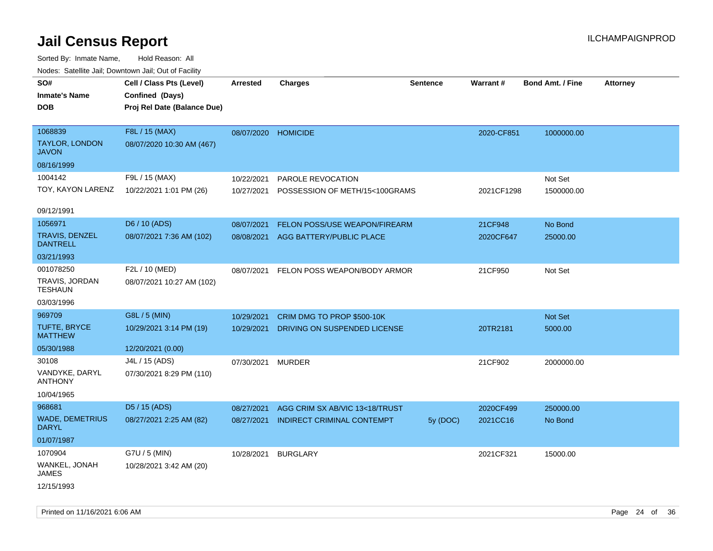| rouco. Calcillo Jali, Downtown Jali, Out of Facility |                                             |                     |                                   |          |            |                         |                 |
|------------------------------------------------------|---------------------------------------------|---------------------|-----------------------------------|----------|------------|-------------------------|-----------------|
| SO#<br><b>Inmate's Name</b>                          | Cell / Class Pts (Level)<br>Confined (Days) | <b>Arrested</b>     | <b>Charges</b>                    | Sentence | Warrant#   | <b>Bond Amt. / Fine</b> | <b>Attorney</b> |
| <b>DOB</b>                                           | Proj Rel Date (Balance Due)                 |                     |                                   |          |            |                         |                 |
| 1068839                                              | F8L / 15 (MAX)                              | 08/07/2020 HOMICIDE |                                   |          | 2020-CF851 | 1000000.00              |                 |
| <b>TAYLOR, LONDON</b><br><b>JAVON</b>                | 08/07/2020 10:30 AM (467)                   |                     |                                   |          |            |                         |                 |
| 08/16/1999                                           |                                             |                     |                                   |          |            |                         |                 |
| 1004142                                              | F9L / 15 (MAX)                              | 10/22/2021          | PAROLE REVOCATION                 |          |            | Not Set                 |                 |
| TOY, KAYON LARENZ                                    | 10/22/2021 1:01 PM (26)                     | 10/27/2021          | POSSESSION OF METH/15<100GRAMS    |          | 2021CF1298 | 1500000.00              |                 |
| 09/12/1991                                           |                                             |                     |                                   |          |            |                         |                 |
| 1056971                                              | D6 / 10 (ADS)                               | 08/07/2021          | FELON POSS/USE WEAPON/FIREARM     |          | 21CF948    | No Bond                 |                 |
| TRAVIS, DENZEL<br><b>DANTRELL</b>                    | 08/07/2021 7:36 AM (102)                    | 08/08/2021          | AGG BATTERY/PUBLIC PLACE          |          | 2020CF647  | 25000.00                |                 |
| 03/21/1993                                           |                                             |                     |                                   |          |            |                         |                 |
| 001078250                                            | F2L / 10 (MED)                              | 08/07/2021          | FELON POSS WEAPON/BODY ARMOR      |          | 21CF950    | Not Set                 |                 |
| TRAVIS, JORDAN<br><b>TESHAUN</b>                     | 08/07/2021 10:27 AM (102)                   |                     |                                   |          |            |                         |                 |
| 03/03/1996                                           |                                             |                     |                                   |          |            |                         |                 |
| 969709                                               | G8L / 5 (MIN)                               | 10/29/2021          | CRIM DMG TO PROP \$500-10K        |          |            | Not Set                 |                 |
| TUFTE, BRYCE<br><b>MATTHEW</b>                       | 10/29/2021 3:14 PM (19)                     | 10/29/2021          | DRIVING ON SUSPENDED LICENSE      |          | 20TR2181   | 5000.00                 |                 |
| 05/30/1988                                           | 12/20/2021 (0.00)                           |                     |                                   |          |            |                         |                 |
| 30108                                                | J4L / 15 (ADS)                              | 07/30/2021          | <b>MURDER</b>                     |          | 21CF902    | 2000000.00              |                 |
| VANDYKE, DARYL<br><b>ANTHONY</b>                     | 07/30/2021 8:29 PM (110)                    |                     |                                   |          |            |                         |                 |
| 10/04/1965                                           |                                             |                     |                                   |          |            |                         |                 |
| 968681                                               | D5 / 15 (ADS)                               | 08/27/2021          | AGG CRIM SX AB/VIC 13<18/TRUST    |          | 2020CF499  | 250000.00               |                 |
| <b>WADE, DEMETRIUS</b><br><b>DARYL</b>               | 08/27/2021 2:25 AM (82)                     | 08/27/2021          | <b>INDIRECT CRIMINAL CONTEMPT</b> | 5y (DOC) | 2021CC16   | No Bond                 |                 |
| 01/07/1987                                           |                                             |                     |                                   |          |            |                         |                 |
| 1070904                                              | G7U / 5 (MIN)                               | 10/28/2021          | <b>BURGLARY</b>                   |          | 2021CF321  | 15000.00                |                 |
| WANKEL, JONAH<br><b>JAMES</b>                        | 10/28/2021 3:42 AM (20)                     |                     |                                   |          |            |                         |                 |
| 12/15/1993                                           |                                             |                     |                                   |          |            |                         |                 |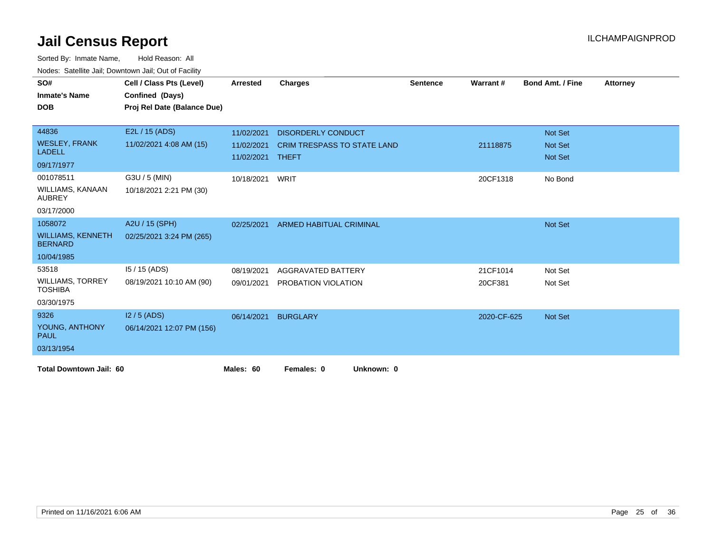| SO#                                        | Cell / Class Pts (Level)    | <b>Arrested</b>                | <b>Charges</b>                     | <b>Sentence</b> | Warrant#    | <b>Bond Amt. / Fine</b> | <b>Attorney</b> |
|--------------------------------------------|-----------------------------|--------------------------------|------------------------------------|-----------------|-------------|-------------------------|-----------------|
| <b>Inmate's Name</b>                       | Confined (Days)             |                                |                                    |                 |             |                         |                 |
| <b>DOB</b>                                 | Proj Rel Date (Balance Due) |                                |                                    |                 |             |                         |                 |
|                                            |                             |                                |                                    |                 |             |                         |                 |
| 44836                                      | E2L / 15 (ADS)              | 11/02/2021                     | <b>DISORDERLY CONDUCT</b>          |                 |             | Not Set                 |                 |
| <b>WESLEY, FRANK</b><br><b>LADELL</b>      | 11/02/2021 4:08 AM (15)     | 11/02/2021<br>11/02/2021 THEFT | <b>CRIM TRESPASS TO STATE LAND</b> |                 | 21118875    | Not Set<br>Not Set      |                 |
| 09/17/1977                                 |                             |                                |                                    |                 |             |                         |                 |
| 001078511                                  | G3U / 5 (MIN)               | 10/18/2021                     | WRIT                               |                 | 20CF1318    | No Bond                 |                 |
| <b>WILLIAMS, KANAAN</b><br><b>AUBREY</b>   | 10/18/2021 2:21 PM (30)     |                                |                                    |                 |             |                         |                 |
| 03/17/2000                                 |                             |                                |                                    |                 |             |                         |                 |
| 1058072                                    | A2U / 15 (SPH)              | 02/25/2021                     | <b>ARMED HABITUAL CRIMINAL</b>     |                 |             | Not Set                 |                 |
| <b>WILLIAMS, KENNETH</b><br><b>BERNARD</b> | 02/25/2021 3:24 PM (265)    |                                |                                    |                 |             |                         |                 |
| 10/04/1985                                 |                             |                                |                                    |                 |             |                         |                 |
| 53518                                      | $15/15$ (ADS)               | 08/19/2021                     | AGGRAVATED BATTERY                 |                 | 21CF1014    | Not Set                 |                 |
| <b>WILLIAMS, TORREY</b><br><b>TOSHIBA</b>  | 08/19/2021 10:10 AM (90)    | 09/01/2021                     | PROBATION VIOLATION                |                 | 20CF381     | Not Set                 |                 |
| 03/30/1975                                 |                             |                                |                                    |                 |             |                         |                 |
| 9326                                       | $12/5$ (ADS)                | 06/14/2021                     | <b>BURGLARY</b>                    |                 | 2020-CF-625 | Not Set                 |                 |
| YOUNG, ANTHONY<br><b>PAUL</b>              | 06/14/2021 12:07 PM (156)   |                                |                                    |                 |             |                         |                 |
| 03/13/1954                                 |                             |                                |                                    |                 |             |                         |                 |
| <b>Total Downtown Jail: 60</b>             |                             | Males: 60                      | Females: 0<br>Unknown: 0           |                 |             |                         |                 |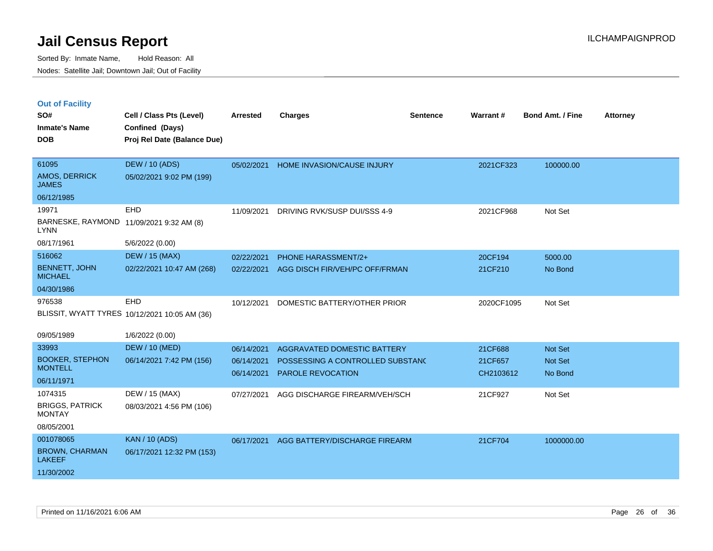|  | <b>Out of Facility</b> |  |
|--|------------------------|--|

| SO#<br><b>Inmate's Name</b>             | Cell / Class Pts (Level)<br>Confined (Days)   | <b>Arrested</b> | <b>Charges</b>                     | <b>Sentence</b> | <b>Warrant#</b> | <b>Bond Amt. / Fine</b> | <b>Attorney</b> |
|-----------------------------------------|-----------------------------------------------|-----------------|------------------------------------|-----------------|-----------------|-------------------------|-----------------|
| <b>DOB</b>                              | Proj Rel Date (Balance Due)                   |                 |                                    |                 |                 |                         |                 |
| 61095                                   | <b>DEW / 10 (ADS)</b>                         | 05/02/2021      | HOME INVASION/CAUSE INJURY         |                 | 2021CF323       | 100000.00               |                 |
| AMOS, DERRICK<br><b>JAMES</b>           | 05/02/2021 9:02 PM (199)                      |                 |                                    |                 |                 |                         |                 |
| 06/12/1985                              |                                               |                 |                                    |                 |                 |                         |                 |
| 19971                                   | EHD                                           | 11/09/2021      | DRIVING RVK/SUSP DUI/SSS 4-9       |                 | 2021CF968       | Not Set                 |                 |
| <b>LYNN</b>                             | BARNESKE, RAYMOND 11/09/2021 9:32 AM (8)      |                 |                                    |                 |                 |                         |                 |
| 08/17/1961                              | 5/6/2022 (0.00)                               |                 |                                    |                 |                 |                         |                 |
| 516062                                  | <b>DEW / 15 (MAX)</b>                         | 02/22/2021      | PHONE HARASSMENT/2+                |                 | 20CF194         | 5000.00                 |                 |
| <b>BENNETT, JOHN</b><br><b>MICHAEL</b>  | 02/22/2021 10:47 AM (268)                     | 02/22/2021      | AGG DISCH FIR/VEH/PC OFF/FRMAN     |                 | 21CF210         | No Bond                 |                 |
| 04/30/1986                              |                                               |                 |                                    |                 |                 |                         |                 |
| 976538                                  | EHD                                           | 10/12/2021      | DOMESTIC BATTERY/OTHER PRIOR       |                 | 2020CF1095      | Not Set                 |                 |
|                                         | BLISSIT, WYATT TYRES 10/12/2021 10:05 AM (36) |                 |                                    |                 |                 |                         |                 |
| 09/05/1989                              | 1/6/2022 (0.00)                               |                 |                                    |                 |                 |                         |                 |
| 33993                                   | <b>DEW / 10 (MED)</b>                         | 06/14/2021      | <b>AGGRAVATED DOMESTIC BATTERY</b> |                 | 21CF688         | Not Set                 |                 |
| <b>BOOKER, STEPHON</b>                  | 06/14/2021 7:42 PM (156)                      | 06/14/2021      | POSSESSING A CONTROLLED SUBSTANC   |                 | 21CF657         | Not Set                 |                 |
| <b>MONTELL</b>                          |                                               | 06/14/2021      | <b>PAROLE REVOCATION</b>           |                 | CH2103612       | No Bond                 |                 |
| 06/11/1971                              |                                               |                 |                                    |                 |                 |                         |                 |
| 1074315                                 | DEW / 15 (MAX)                                | 07/27/2021      | AGG DISCHARGE FIREARM/VEH/SCH      |                 | 21CF927         | Not Set                 |                 |
| <b>BRIGGS, PATRICK</b><br><b>MONTAY</b> | 08/03/2021 4:56 PM (106)                      |                 |                                    |                 |                 |                         |                 |
| 08/05/2001                              |                                               |                 |                                    |                 |                 |                         |                 |
| 001078065                               | <b>KAN / 10 (ADS)</b>                         | 06/17/2021      | AGG BATTERY/DISCHARGE FIREARM      |                 | 21CF704         | 1000000.00              |                 |
| <b>BROWN, CHARMAN</b><br><b>LAKEEF</b>  | 06/17/2021 12:32 PM (153)                     |                 |                                    |                 |                 |                         |                 |
| 11/30/2002                              |                                               |                 |                                    |                 |                 |                         |                 |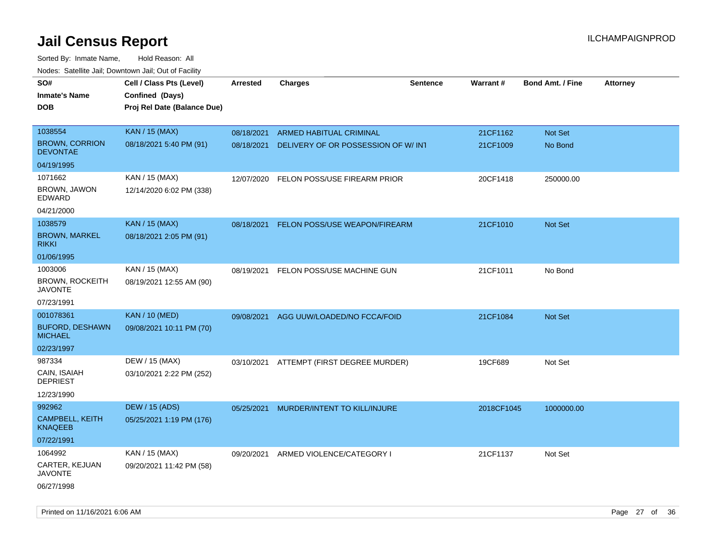| noaco. Catomto can, Domntonn can, Cat or I domt<br>SO#<br><b>Inmate's Name</b> | Cell / Class Pts (Level)<br>Confined (Days) | <b>Arrested</b> | <b>Charges</b>                           | <b>Sentence</b> | Warrant#   | <b>Bond Amt. / Fine</b> | <b>Attorney</b> |
|--------------------------------------------------------------------------------|---------------------------------------------|-----------------|------------------------------------------|-----------------|------------|-------------------------|-----------------|
| <b>DOB</b>                                                                     | Proj Rel Date (Balance Due)                 |                 |                                          |                 |            |                         |                 |
| 1038554                                                                        | <b>KAN / 15 (MAX)</b>                       | 08/18/2021      | ARMED HABITUAL CRIMINAL                  |                 | 21CF1162   | Not Set                 |                 |
| <b>BROWN, CORRION</b><br><b>DEVONTAE</b>                                       | 08/18/2021 5:40 PM (91)                     | 08/18/2021      | DELIVERY OF OR POSSESSION OF W/INT       |                 | 21CF1009   | No Bond                 |                 |
| 04/19/1995                                                                     |                                             |                 |                                          |                 |            |                         |                 |
| 1071662                                                                        | KAN / 15 (MAX)                              | 12/07/2020      | FELON POSS/USE FIREARM PRIOR             |                 | 20CF1418   | 250000.00               |                 |
| BROWN, JAWON<br>EDWARD                                                         | 12/14/2020 6:02 PM (338)                    |                 |                                          |                 |            |                         |                 |
| 04/21/2000                                                                     |                                             |                 |                                          |                 |            |                         |                 |
| 1038579                                                                        | <b>KAN / 15 (MAX)</b>                       | 08/18/2021      | FELON POSS/USE WEAPON/FIREARM            |                 | 21CF1010   | Not Set                 |                 |
| <b>BROWN, MARKEL</b><br><b>RIKKI</b>                                           | 08/18/2021 2:05 PM (91)                     |                 |                                          |                 |            |                         |                 |
| 01/06/1995                                                                     |                                             |                 |                                          |                 |            |                         |                 |
| 1003006                                                                        | KAN / 15 (MAX)                              | 08/19/2021      | FELON POSS/USE MACHINE GUN               |                 | 21CF1011   | No Bond                 |                 |
| <b>BROWN, ROCKEITH</b><br><b>JAVONTE</b>                                       | 08/19/2021 12:55 AM (90)                    |                 |                                          |                 |            |                         |                 |
| 07/23/1991                                                                     |                                             |                 |                                          |                 |            |                         |                 |
| 001078361                                                                      | <b>KAN / 10 (MED)</b>                       | 09/08/2021      | AGG UUW/LOADED/NO FCCA/FOID              |                 | 21CF1084   | Not Set                 |                 |
| <b>BUFORD, DESHAWN</b><br><b>MICHAEL</b>                                       | 09/08/2021 10:11 PM (70)                    |                 |                                          |                 |            |                         |                 |
| 02/23/1997                                                                     |                                             |                 |                                          |                 |            |                         |                 |
| 987334                                                                         | DEW / 15 (MAX)                              |                 | 03/10/2021 ATTEMPT (FIRST DEGREE MURDER) |                 | 19CF689    | Not Set                 |                 |
| CAIN, ISAIAH<br><b>DEPRIEST</b>                                                | 03/10/2021 2:22 PM (252)                    |                 |                                          |                 |            |                         |                 |
| 12/23/1990                                                                     |                                             |                 |                                          |                 |            |                         |                 |
| 992962                                                                         | <b>DEW / 15 (ADS)</b>                       | 05/25/2021      | MURDER/INTENT TO KILL/INJURE             |                 | 2018CF1045 | 1000000.00              |                 |
| CAMPBELL, KEITH<br><b>KNAQEEB</b>                                              | 05/25/2021 1:19 PM (176)                    |                 |                                          |                 |            |                         |                 |
| 07/22/1991                                                                     |                                             |                 |                                          |                 |            |                         |                 |
| 1064992                                                                        | KAN / 15 (MAX)                              | 09/20/2021      | ARMED VIOLENCE/CATEGORY I                |                 | 21CF1137   | Not Set                 |                 |
| CARTER, KEJUAN<br>JAVONTE                                                      | 09/20/2021 11:42 PM (58)                    |                 |                                          |                 |            |                         |                 |
| 06/27/1998                                                                     |                                             |                 |                                          |                 |            |                         |                 |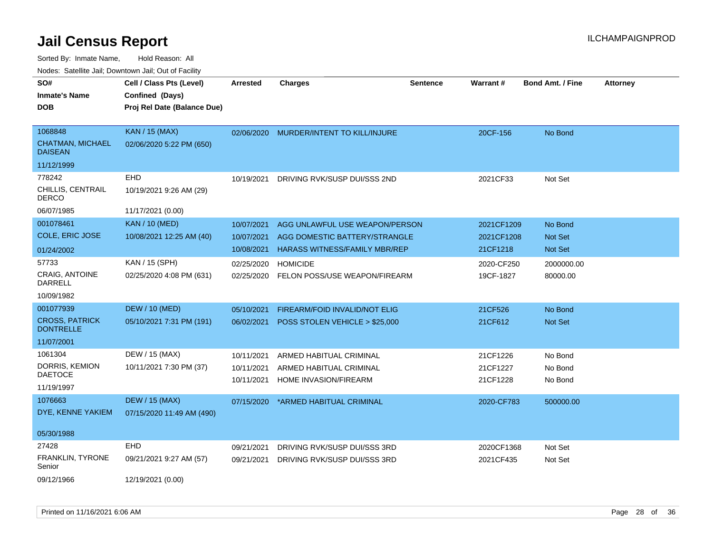| rougs. Calcinic Jan, Downtown Jan, Out of Facility   |                                                                            |                          |                                                                 |                 |                          |                         |                 |
|------------------------------------------------------|----------------------------------------------------------------------------|--------------------------|-----------------------------------------------------------------|-----------------|--------------------------|-------------------------|-----------------|
| SO#<br><b>Inmate's Name</b><br><b>DOB</b>            | Cell / Class Pts (Level)<br>Confined (Days)<br>Proj Rel Date (Balance Due) | <b>Arrested</b>          | <b>Charges</b>                                                  | <b>Sentence</b> | <b>Warrant#</b>          | <b>Bond Amt. / Fine</b> | <b>Attorney</b> |
| 1068848<br><b>CHATMAN, MICHAEL</b><br><b>DAISEAN</b> | <b>KAN / 15 (MAX)</b><br>02/06/2020 5:22 PM (650)                          |                          | 02/06/2020 MURDER/INTENT TO KILL/INJURE                         |                 | 20CF-156                 | No Bond                 |                 |
| 11/12/1999                                           |                                                                            |                          |                                                                 |                 |                          |                         |                 |
| 778242<br>CHILLIS, CENTRAIL<br><b>DERCO</b>          | EHD<br>10/19/2021 9:26 AM (29)                                             | 10/19/2021               | DRIVING RVK/SUSP DUI/SSS 2ND                                    |                 | 2021CF33                 | Not Set                 |                 |
| 06/07/1985                                           | 11/17/2021 (0.00)                                                          |                          |                                                                 |                 |                          |                         |                 |
| 001078461<br>COLE, ERIC JOSE                         | <b>KAN / 10 (MED)</b><br>10/08/2021 12:25 AM (40)                          | 10/07/2021<br>10/07/2021 | AGG UNLAWFUL USE WEAPON/PERSON<br>AGG DOMESTIC BATTERY/STRANGLE |                 | 2021CF1209<br>2021CF1208 | No Bond<br>Not Set      |                 |
| 01/24/2002                                           |                                                                            | 10/08/2021               | <b>HARASS WITNESS/FAMILY MBR/REP</b>                            |                 | 21CF1218                 | Not Set                 |                 |
| 57733<br>CRAIG, ANTOINE<br>DARRELL                   | KAN / 15 (SPH)<br>02/25/2020 4:08 PM (631)                                 | 02/25/2020<br>02/25/2020 | <b>HOMICIDE</b><br>FELON POSS/USE WEAPON/FIREARM                |                 | 2020-CF250<br>19CF-1827  | 2000000.00<br>80000.00  |                 |
| 10/09/1982                                           |                                                                            |                          |                                                                 |                 |                          |                         |                 |
| 001077939                                            | <b>DEW / 10 (MED)</b>                                                      | 05/10/2021               | FIREARM/FOID INVALID/NOT ELIG                                   |                 | 21CF526                  | No Bond                 |                 |
| <b>CROSS, PATRICK</b><br><b>DONTRELLE</b>            | 05/10/2021 7:31 PM (191)                                                   | 06/02/2021               | POSS STOLEN VEHICLE > \$25,000                                  |                 | 21CF612                  | Not Set                 |                 |
| 11/07/2001                                           |                                                                            |                          |                                                                 |                 |                          |                         |                 |
| 1061304                                              | DEW / 15 (MAX)                                                             | 10/11/2021               | ARMED HABITUAL CRIMINAL                                         |                 | 21CF1226                 | No Bond                 |                 |
| DORRIS, KEMION<br><b>DAETOCE</b>                     | 10/11/2021 7:30 PM (37)                                                    | 10/11/2021               | ARMED HABITUAL CRIMINAL                                         |                 | 21CF1227                 | No Bond                 |                 |
| 11/19/1997                                           |                                                                            | 10/11/2021               | HOME INVASION/FIREARM                                           |                 | 21CF1228                 | No Bond                 |                 |
| 1076663<br>DYE, KENNE YAKIEM                         | <b>DEW / 15 (MAX)</b><br>07/15/2020 11:49 AM (490)                         | 07/15/2020               | *ARMED HABITUAL CRIMINAL                                        |                 | 2020-CF783               | 500000.00               |                 |
| 05/30/1988                                           |                                                                            |                          |                                                                 |                 |                          |                         |                 |
| 27428                                                | <b>EHD</b>                                                                 | 09/21/2021               | DRIVING RVK/SUSP DUI/SSS 3RD                                    |                 | 2020CF1368               | Not Set                 |                 |
| FRANKLIN, TYRONE<br>Senior                           | 09/21/2021 9:27 AM (57)                                                    | 09/21/2021               | DRIVING RVK/SUSP DUI/SSS 3RD                                    |                 | 2021CF435                | Not Set                 |                 |
| 09/12/1966                                           | 12/19/2021 (0.00)                                                          |                          |                                                                 |                 |                          |                         |                 |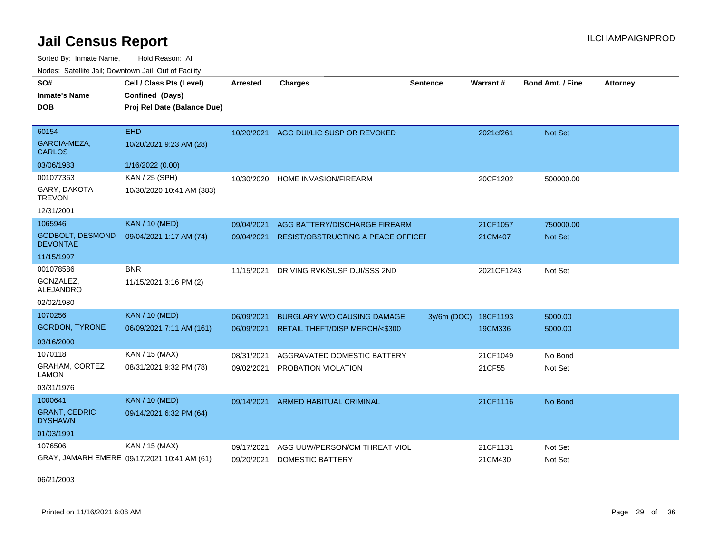Sorted By: Inmate Name, Hold Reason: All

| Nodes: Satellite Jail; Downtown Jail; Out of Facility |                                             |                 |                                    |                 |            |                  |                 |  |  |
|-------------------------------------------------------|---------------------------------------------|-----------------|------------------------------------|-----------------|------------|------------------|-----------------|--|--|
| SO#                                                   | Cell / Class Pts (Level)                    | <b>Arrested</b> | <b>Charges</b>                     | <b>Sentence</b> | Warrant#   | Bond Amt. / Fine | <b>Attorney</b> |  |  |
| <b>Inmate's Name</b>                                  | Confined (Days)                             |                 |                                    |                 |            |                  |                 |  |  |
| <b>DOB</b>                                            | Proj Rel Date (Balance Due)                 |                 |                                    |                 |            |                  |                 |  |  |
|                                                       |                                             |                 |                                    |                 |            |                  |                 |  |  |
| 60154                                                 | <b>EHD</b>                                  | 10/20/2021      | AGG DUI/LIC SUSP OR REVOKED        |                 | 2021cf261  | Not Set          |                 |  |  |
| GARCIA-MEZA,<br><b>CARLOS</b>                         | 10/20/2021 9:23 AM (28)                     |                 |                                    |                 |            |                  |                 |  |  |
| 03/06/1983                                            | 1/16/2022 (0.00)                            |                 |                                    |                 |            |                  |                 |  |  |
| 001077363                                             | KAN / 25 (SPH)                              | 10/30/2020      | HOME INVASION/FIREARM              |                 | 20CF1202   | 500000.00        |                 |  |  |
| GARY, DAKOTA<br><b>TREVON</b>                         | 10/30/2020 10:41 AM (383)                   |                 |                                    |                 |            |                  |                 |  |  |
| 12/31/2001                                            |                                             |                 |                                    |                 |            |                  |                 |  |  |
| 1065946                                               | <b>KAN / 10 (MED)</b>                       | 09/04/2021      | AGG BATTERY/DISCHARGE FIREARM      |                 | 21CF1057   | 750000.00        |                 |  |  |
| <b>GODBOLT, DESMOND</b><br><b>DEVONTAE</b>            | 09/04/2021 1:17 AM (74)                     | 09/04/2021      | RESIST/OBSTRUCTING A PEACE OFFICEF |                 | 21CM407    | Not Set          |                 |  |  |
| 11/15/1997                                            |                                             |                 |                                    |                 |            |                  |                 |  |  |
| 001078586                                             | <b>BNR</b>                                  | 11/15/2021      | DRIVING RVK/SUSP DUI/SSS 2ND       |                 | 2021CF1243 | Not Set          |                 |  |  |
| GONZALEZ.<br>ALEJANDRO                                | 11/15/2021 3:16 PM (2)                      |                 |                                    |                 |            |                  |                 |  |  |
| 02/02/1980                                            |                                             |                 |                                    |                 |            |                  |                 |  |  |
| 1070256                                               | <b>KAN / 10 (MED)</b>                       | 06/09/2021      | <b>BURGLARY W/O CAUSING DAMAGE</b> | $3y/6m$ (DOC)   | 18CF1193   | 5000.00          |                 |  |  |
| <b>GORDON, TYRONE</b>                                 | 06/09/2021 7:11 AM (161)                    | 06/09/2021      | RETAIL THEFT/DISP MERCH/<\$300     |                 | 19CM336    | 5000.00          |                 |  |  |
| 03/16/2000                                            |                                             |                 |                                    |                 |            |                  |                 |  |  |
| 1070118                                               | KAN / 15 (MAX)                              | 08/31/2021      | AGGRAVATED DOMESTIC BATTERY        |                 | 21CF1049   | No Bond          |                 |  |  |
| GRAHAM, CORTEZ<br><b>LAMON</b>                        | 08/31/2021 9:32 PM (78)                     | 09/02/2021      | PROBATION VIOLATION                |                 | 21CF55     | Not Set          |                 |  |  |
| 03/31/1976                                            |                                             |                 |                                    |                 |            |                  |                 |  |  |
| 1000641                                               |                                             |                 |                                    |                 |            |                  |                 |  |  |
| <b>GRANT, CEDRIC</b>                                  | <b>KAN / 10 (MED)</b>                       | 09/14/2021      | ARMED HABITUAL CRIMINAL            |                 | 21CF1116   | No Bond          |                 |  |  |
| <b>DYSHAWN</b>                                        | 09/14/2021 6:32 PM (64)                     |                 |                                    |                 |            |                  |                 |  |  |
| 01/03/1991                                            |                                             |                 |                                    |                 |            |                  |                 |  |  |
| 1076506                                               | KAN / 15 (MAX)                              | 09/17/2021      | AGG UUW/PERSON/CM THREAT VIOL      |                 | 21CF1131   | Not Set          |                 |  |  |
|                                                       | GRAY, JAMARH EMERE 09/17/2021 10:41 AM (61) | 09/20/2021      | <b>DOMESTIC BATTERY</b>            |                 | 21CM430    | Not Set          |                 |  |  |

06/21/2003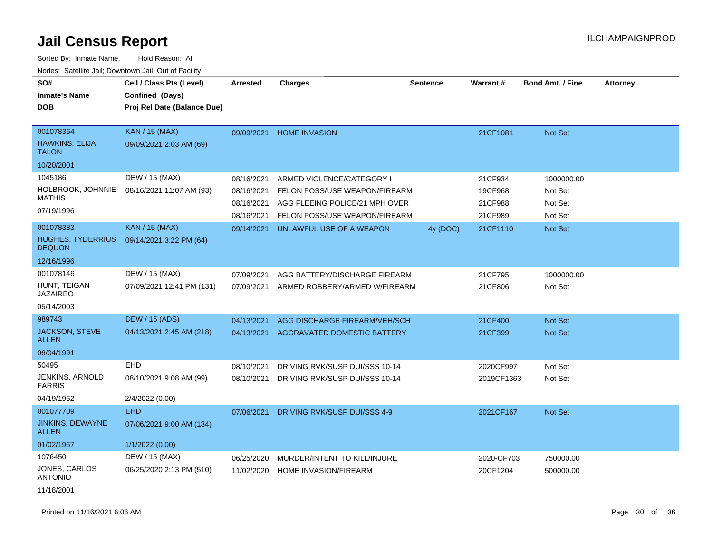| SO#<br><b>Inmate's Name</b><br><b>DOB</b>                     | Cell / Class Pts (Level)<br>Confined (Days)<br>Proj Rel Date (Balance Due) | <b>Arrested</b>          | <b>Charges</b>                                                  | <b>Sentence</b> | Warrant#           | <b>Bond Amt. / Fine</b> | <b>Attorney</b> |
|---------------------------------------------------------------|----------------------------------------------------------------------------|--------------------------|-----------------------------------------------------------------|-----------------|--------------------|-------------------------|-----------------|
| 001078364<br>HAWKINS, ELIJA<br><b>TALON</b>                   | KAN / 15 (MAX)<br>09/09/2021 2:03 AM (69)                                  | 09/09/2021               | <b>HOME INVASION</b>                                            |                 | 21CF1081           | Not Set                 |                 |
| 10/20/2001                                                    |                                                                            |                          |                                                                 |                 |                    |                         |                 |
| 1045186                                                       | DEW / 15 (MAX)                                                             | 08/16/2021               | ARMED VIOLENCE/CATEGORY I                                       |                 | 21CF934            | 1000000.00              |                 |
| HOLBROOK, JOHNNIE<br><b>MATHIS</b>                            | 08/16/2021 11:07 AM (93)                                                   | 08/16/2021<br>08/16/2021 | FELON POSS/USE WEAPON/FIREARM<br>AGG FLEEING POLICE/21 MPH OVER |                 | 19CF968<br>21CF988 | Not Set<br>Not Set      |                 |
| 07/19/1996                                                    |                                                                            | 08/16/2021               | FELON POSS/USE WEAPON/FIREARM                                   |                 | 21CF989            | Not Set                 |                 |
| 001078383<br>HUGHES, TYDERRIUS<br><b>DEQUON</b><br>12/16/1996 | <b>KAN / 15 (MAX)</b><br>09/14/2021 3:22 PM (64)                           | 09/14/2021               | UNLAWFUL USE OF A WEAPON                                        | 4y (DOC)        | 21CF1110           | Not Set                 |                 |
| 001078146                                                     | DEW / 15 (MAX)                                                             | 07/09/2021               | AGG BATTERY/DISCHARGE FIREARM                                   |                 | 21CF795            | 1000000.00              |                 |
| HUNT, TEIGAN<br><b>JAZAIREO</b>                               | 07/09/2021 12:41 PM (131)                                                  | 07/09/2021               | ARMED ROBBERY/ARMED W/FIREARM                                   |                 | 21CF806            | Not Set                 |                 |
| 05/14/2003                                                    |                                                                            |                          |                                                                 |                 |                    |                         |                 |
| 989743                                                        | <b>DEW / 15 (ADS)</b>                                                      | 04/13/2021               | AGG DISCHARGE FIREARM/VEH/SCH                                   |                 | 21CF400            | <b>Not Set</b>          |                 |
| JACKSON, STEVE<br><b>ALLEN</b>                                | 04/13/2021 2:45 AM (218)                                                   | 04/13/2021               | AGGRAVATED DOMESTIC BATTERY                                     |                 | 21CF399            | <b>Not Set</b>          |                 |
| 06/04/1991                                                    |                                                                            |                          |                                                                 |                 |                    |                         |                 |
| 50495                                                         | EHD                                                                        | 08/10/2021               | DRIVING RVK/SUSP DUI/SSS 10-14                                  |                 | 2020CF997          | Not Set                 |                 |
| JENKINS, ARNOLD<br><b>FARRIS</b>                              | 08/10/2021 9:08 AM (99)                                                    | 08/10/2021               | DRIVING RVK/SUSP DUI/SSS 10-14                                  |                 | 2019CF1363         | Not Set                 |                 |
| 04/19/1962                                                    | 2/4/2022 (0.00)                                                            |                          |                                                                 |                 |                    |                         |                 |
| 001077709                                                     | <b>EHD</b>                                                                 | 07/06/2021               | DRIVING RVK/SUSP DUI/SSS 4-9                                    |                 | 2021CF167          | Not Set                 |                 |
| JINKINS, DEWAYNE<br><b>ALLEN</b>                              | 07/06/2021 9:00 AM (134)                                                   |                          |                                                                 |                 |                    |                         |                 |
| 01/02/1967                                                    | 1/1/2022 (0.00)                                                            |                          |                                                                 |                 |                    |                         |                 |
| 1076450                                                       | DEW / 15 (MAX)                                                             | 06/25/2020               | MURDER/INTENT TO KILL/INJURE                                    |                 | 2020-CF703         | 750000.00               |                 |
| JONES, CARLOS<br><b>ANTONIO</b>                               | 06/25/2020 2:13 PM (510)                                                   | 11/02/2020               | <b>HOME INVASION/FIREARM</b>                                    |                 | 20CF1204           | 500000.00               |                 |
| 11/18/2001                                                    |                                                                            |                          |                                                                 |                 |                    |                         |                 |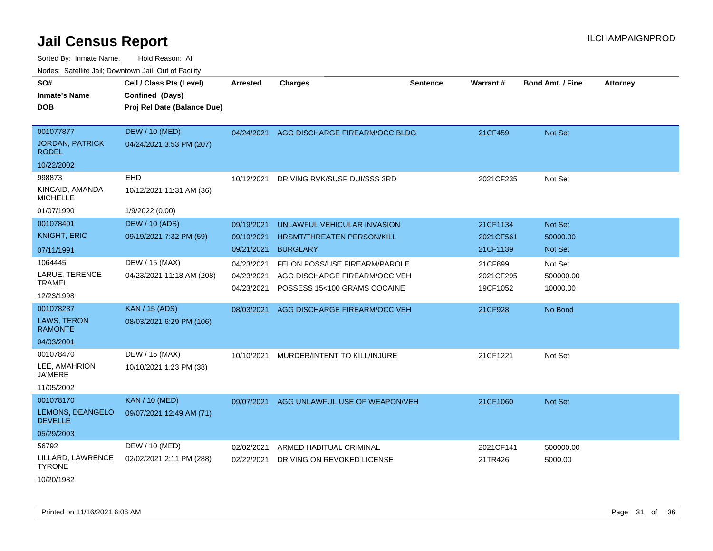| ivouss. Saleline Jali, Downtown Jali, Out of Facility |                             |                 |                                      |                 |           |                         |                 |
|-------------------------------------------------------|-----------------------------|-----------------|--------------------------------------|-----------------|-----------|-------------------------|-----------------|
| SO#                                                   | Cell / Class Pts (Level)    | <b>Arrested</b> | <b>Charges</b>                       | <b>Sentence</b> | Warrant#  | <b>Bond Amt. / Fine</b> | <b>Attorney</b> |
| <b>Inmate's Name</b>                                  | Confined (Days)             |                 |                                      |                 |           |                         |                 |
| <b>DOB</b>                                            | Proj Rel Date (Balance Due) |                 |                                      |                 |           |                         |                 |
|                                                       |                             |                 |                                      |                 |           |                         |                 |
| 001077877                                             | <b>DEW / 10 (MED)</b>       | 04/24/2021      | AGG DISCHARGE FIREARM/OCC BLDG       |                 | 21CF459   | Not Set                 |                 |
| <b>JORDAN, PATRICK</b><br><b>RODEL</b>                | 04/24/2021 3:53 PM (207)    |                 |                                      |                 |           |                         |                 |
| 10/22/2002                                            |                             |                 |                                      |                 |           |                         |                 |
| 998873                                                | <b>EHD</b>                  | 10/12/2021      | DRIVING RVK/SUSP DUI/SSS 3RD         |                 | 2021CF235 | Not Set                 |                 |
| KINCAID, AMANDA<br><b>MICHELLE</b>                    | 10/12/2021 11:31 AM (36)    |                 |                                      |                 |           |                         |                 |
| 01/07/1990                                            | 1/9/2022 (0.00)             |                 |                                      |                 |           |                         |                 |
| 001078401                                             | <b>DEW / 10 (ADS)</b>       | 09/19/2021      | UNLAWFUL VEHICULAR INVASION          |                 | 21CF1134  | Not Set                 |                 |
| <b>KNIGHT, ERIC</b>                                   | 09/19/2021 7:32 PM (59)     | 09/19/2021      | <b>HRSMT/THREATEN PERSON/KILL</b>    |                 | 2021CF561 | 50000.00                |                 |
| 07/11/1991                                            |                             | 09/21/2021      | <b>BURGLARY</b>                      |                 | 21CF1139  | Not Set                 |                 |
| 1064445                                               | DEW / 15 (MAX)              | 04/23/2021      | <b>FELON POSS/USE FIREARM/PAROLE</b> |                 | 21CF899   | Not Set                 |                 |
| LARUE, TERENCE                                        | 04/23/2021 11:18 AM (208)   | 04/23/2021      | AGG DISCHARGE FIREARM/OCC VEH        |                 | 2021CF295 | 500000.00               |                 |
| <b>TRAMEL</b>                                         |                             | 04/23/2021      | POSSESS 15<100 GRAMS COCAINE         |                 | 19CF1052  | 10000.00                |                 |
| 12/23/1998                                            |                             |                 |                                      |                 |           |                         |                 |
| 001078237                                             | <b>KAN / 15 (ADS)</b>       | 08/03/2021      | AGG DISCHARGE FIREARM/OCC VEH        |                 | 21CF928   | No Bond                 |                 |
| <b>LAWS, TERON</b><br><b>RAMONTE</b>                  | 08/03/2021 6:29 PM (106)    |                 |                                      |                 |           |                         |                 |
| 04/03/2001                                            |                             |                 |                                      |                 |           |                         |                 |
| 001078470                                             | DEW / 15 (MAX)              | 10/10/2021      | MURDER/INTENT TO KILL/INJURE         |                 | 21CF1221  | Not Set                 |                 |
| LEE, AMAHRION<br><b>JA'MERE</b>                       | 10/10/2021 1:23 PM (38)     |                 |                                      |                 |           |                         |                 |
| 11/05/2002                                            |                             |                 |                                      |                 |           |                         |                 |
| 001078170                                             | <b>KAN / 10 (MED)</b>       | 09/07/2021      | AGG UNLAWFUL USE OF WEAPON/VEH       |                 | 21CF1060  | Not Set                 |                 |
| LEMONS, DEANGELO<br><b>DEVELLE</b>                    | 09/07/2021 12:49 AM (71)    |                 |                                      |                 |           |                         |                 |
| 05/29/2003                                            |                             |                 |                                      |                 |           |                         |                 |
| 56792                                                 | DEW / 10 (MED)              | 02/02/2021      | ARMED HABITUAL CRIMINAL              |                 | 2021CF141 | 500000.00               |                 |
| LILLARD, LAWRENCE<br><b>TYRONE</b>                    | 02/02/2021 2:11 PM (288)    | 02/22/2021      | DRIVING ON REVOKED LICENSE           |                 | 21TR426   | 5000.00                 |                 |
| 10/20/1982                                            |                             |                 |                                      |                 |           |                         |                 |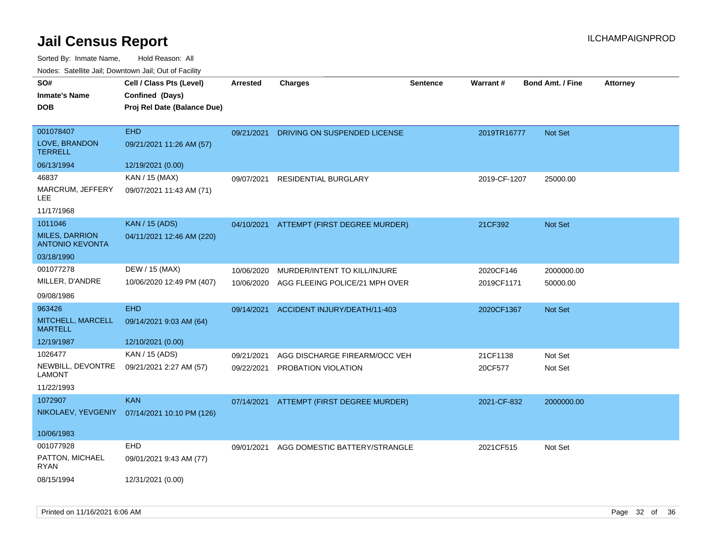| SO#<br><b>Inmate's Name</b><br><b>DOB</b>                   | Cell / Class Pts (Level)<br>Confined (Days)<br>Proj Rel Date (Balance Due) | <b>Arrested</b>          | <b>Charges</b>                                                 | <b>Sentence</b> | Warrant#                | <b>Bond Amt. / Fine</b> | <b>Attorney</b> |
|-------------------------------------------------------------|----------------------------------------------------------------------------|--------------------------|----------------------------------------------------------------|-----------------|-------------------------|-------------------------|-----------------|
| 001078407<br>LOVE, BRANDON<br><b>TERRELL</b>                | <b>EHD</b><br>09/21/2021 11:26 AM (57)                                     | 09/21/2021               | DRIVING ON SUSPENDED LICENSE                                   |                 | 2019TR16777             | Not Set                 |                 |
| 06/13/1994                                                  | 12/19/2021 (0.00)                                                          |                          |                                                                |                 |                         |                         |                 |
| 46837<br>MARCRUM, JEFFERY<br>LEE                            | KAN / 15 (MAX)<br>09/07/2021 11:43 AM (71)                                 | 09/07/2021               | RESIDENTIAL BURGLARY                                           |                 | 2019-CF-1207            | 25000.00                |                 |
| 11/17/1968                                                  |                                                                            |                          |                                                                |                 |                         |                         |                 |
| 1011046<br><b>MILES, DARRION</b><br><b>ANTONIO KEVONTA</b>  | <b>KAN</b> / 15 (ADS)<br>04/11/2021 12:46 AM (220)                         |                          | 04/10/2021 ATTEMPT (FIRST DEGREE MURDER)                       |                 | 21CF392                 | Not Set                 |                 |
| 03/18/1990                                                  |                                                                            |                          |                                                                |                 |                         |                         |                 |
| 001077278<br>MILLER, D'ANDRE<br>09/08/1986                  | DEW / 15 (MAX)<br>10/06/2020 12:49 PM (407)                                | 10/06/2020<br>10/06/2020 | MURDER/INTENT TO KILL/INJURE<br>AGG FLEEING POLICE/21 MPH OVER |                 | 2020CF146<br>2019CF1171 | 2000000.00<br>50000.00  |                 |
| 963426                                                      | <b>EHD</b>                                                                 | 09/14/2021               | ACCIDENT INJURY/DEATH/11-403                                   |                 | 2020CF1367              | <b>Not Set</b>          |                 |
| MITCHELL, MARCELL<br><b>MARTELL</b>                         | 09/14/2021 9:03 AM (64)                                                    |                          |                                                                |                 |                         |                         |                 |
| 12/19/1987                                                  | 12/10/2021 (0.00)                                                          |                          |                                                                |                 |                         |                         |                 |
| 1026477<br>NEWBILL, DEVONTRE<br><b>LAMONT</b><br>11/22/1993 | KAN / 15 (ADS)<br>09/21/2021 2:27 AM (57)                                  | 09/21/2021<br>09/22/2021 | AGG DISCHARGE FIREARM/OCC VEH<br>PROBATION VIOLATION           |                 | 21CF1138<br>20CF577     | Not Set<br>Not Set      |                 |
| 1072907                                                     | <b>KAN</b>                                                                 | 07/14/2021               | ATTEMPT (FIRST DEGREE MURDER)                                  |                 | 2021-CF-832             | 2000000.00              |                 |
|                                                             | NIKOLAEV, YEVGENIY 07/14/2021 10:10 PM (126)                               |                          |                                                                |                 |                         |                         |                 |
| 10/06/1983                                                  |                                                                            |                          |                                                                |                 |                         |                         |                 |
| 001077928                                                   | <b>EHD</b>                                                                 | 09/01/2021               | AGG DOMESTIC BATTERY/STRANGLE                                  |                 | 2021CF515               | Not Set                 |                 |
| PATTON, MICHAEL<br><b>RYAN</b>                              | 09/01/2021 9:43 AM (77)                                                    |                          |                                                                |                 |                         |                         |                 |
| 08/15/1994                                                  | 12/31/2021 (0.00)                                                          |                          |                                                                |                 |                         |                         |                 |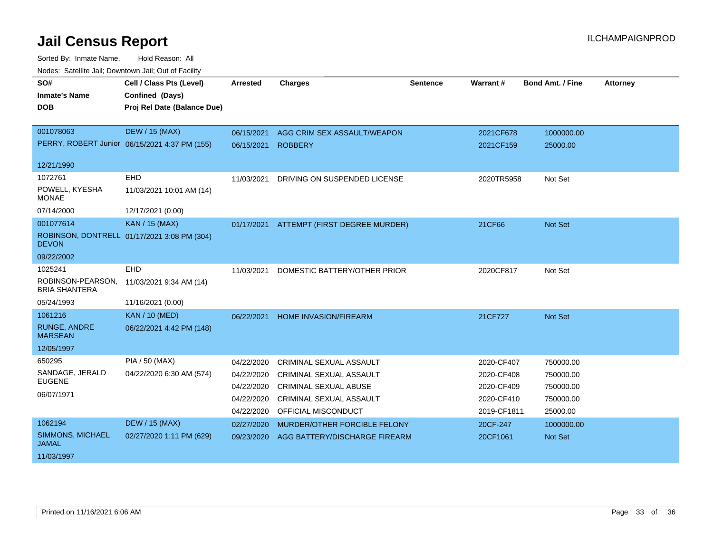| SO#                                       | Cell / Class Pts (Level)                      | <b>Arrested</b> | <b>Charges</b>                 | Sentence | Warrant#    | <b>Bond Amt. / Fine</b> | <b>Attorney</b> |
|-------------------------------------------|-----------------------------------------------|-----------------|--------------------------------|----------|-------------|-------------------------|-----------------|
| <b>Inmate's Name</b>                      | Confined (Days)                               |                 |                                |          |             |                         |                 |
| <b>DOB</b>                                | Proj Rel Date (Balance Due)                   |                 |                                |          |             |                         |                 |
|                                           |                                               |                 |                                |          |             |                         |                 |
| 001078063                                 | <b>DEW / 15 (MAX)</b>                         | 06/15/2021      | AGG CRIM SEX ASSAULT/WEAPON    |          | 2021CF678   | 1000000.00              |                 |
|                                           | PERRY, ROBERT Junior 06/15/2021 4:37 PM (155) | 06/15/2021      | <b>ROBBERY</b>                 |          | 2021CF159   | 25000.00                |                 |
| 12/21/1990                                |                                               |                 |                                |          |             |                         |                 |
| 1072761                                   | <b>EHD</b>                                    | 11/03/2021      | DRIVING ON SUSPENDED LICENSE   |          | 2020TR5958  | Not Set                 |                 |
| POWELL, KYESHA<br><b>MONAE</b>            | 11/03/2021 10:01 AM (14)                      |                 |                                |          |             |                         |                 |
| 07/14/2000                                | 12/17/2021 (0.00)                             |                 |                                |          |             |                         |                 |
| 001077614                                 | <b>KAN / 15 (MAX)</b>                         | 01/17/2021      | ATTEMPT (FIRST DEGREE MURDER)  |          | 21CF66      | Not Set                 |                 |
| <b>DEVON</b>                              | ROBINSON, DONTRELL 01/17/2021 3:08 PM (304)   |                 |                                |          |             |                         |                 |
| 09/22/2002                                |                                               |                 |                                |          |             |                         |                 |
| 1025241                                   | <b>EHD</b>                                    | 11/03/2021      | DOMESTIC BATTERY/OTHER PRIOR   |          | 2020CF817   | Not Set                 |                 |
| ROBINSON-PEARSON,<br><b>BRIA SHANTERA</b> | 11/03/2021 9:34 AM (14)                       |                 |                                |          |             |                         |                 |
| 05/24/1993                                | 11/16/2021 (0.00)                             |                 |                                |          |             |                         |                 |
| 1061216                                   | <b>KAN / 10 (MED)</b>                         | 06/22/2021      | <b>HOME INVASION/FIREARM</b>   |          | 21CF727     | <b>Not Set</b>          |                 |
| <b>RUNGE, ANDRE</b><br><b>MARSEAN</b>     | 06/22/2021 4:42 PM (148)                      |                 |                                |          |             |                         |                 |
| 12/05/1997                                |                                               |                 |                                |          |             |                         |                 |
| 650295                                    | PIA / 50 (MAX)                                | 04/22/2020      | CRIMINAL SEXUAL ASSAULT        |          | 2020-CF407  | 750000.00               |                 |
| SANDAGE, JERALD                           | 04/22/2020 6:30 AM (574)                      | 04/22/2020      | CRIMINAL SEXUAL ASSAULT        |          | 2020-CF408  | 750000.00               |                 |
| <b>EUGENE</b>                             |                                               | 04/22/2020      | <b>CRIMINAL SEXUAL ABUSE</b>   |          | 2020-CF409  | 750000.00               |                 |
| 06/07/1971                                |                                               | 04/22/2020      | <b>CRIMINAL SEXUAL ASSAULT</b> |          | 2020-CF410  | 750000.00               |                 |
|                                           |                                               | 04/22/2020      | OFFICIAL MISCONDUCT            |          | 2019-CF1811 | 25000.00                |                 |
| 1062194                                   | <b>DEW / 15 (MAX)</b>                         | 02/27/2020      | MURDER/OTHER FORCIBLE FELONY   |          | 20CF-247    | 1000000.00              |                 |
| SIMMONS, MICHAEL<br><b>JAMAL</b>          | 02/27/2020 1:11 PM (629)                      | 09/23/2020      | AGG BATTERY/DISCHARGE FIREARM  |          | 20CF1061    | Not Set                 |                 |
| 11/03/1997                                |                                               |                 |                                |          |             |                         |                 |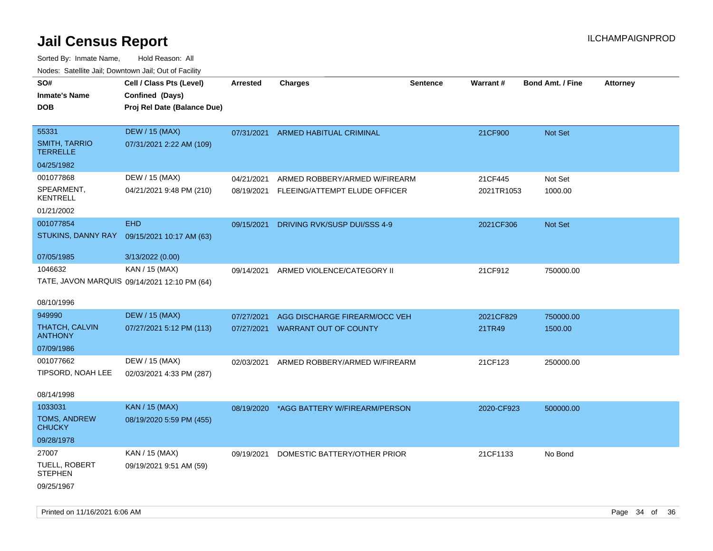| ivouss. Saleline Jali, Downtown Jali, Out of Facility |                                              |                 |                                    |                 |            |                         |                 |
|-------------------------------------------------------|----------------------------------------------|-----------------|------------------------------------|-----------------|------------|-------------------------|-----------------|
| SO#                                                   | Cell / Class Pts (Level)                     | <b>Arrested</b> | <b>Charges</b>                     | <b>Sentence</b> | Warrant#   | <b>Bond Amt. / Fine</b> | <b>Attorney</b> |
| <b>Inmate's Name</b>                                  | Confined (Days)                              |                 |                                    |                 |            |                         |                 |
| DOB                                                   | Proj Rel Date (Balance Due)                  |                 |                                    |                 |            |                         |                 |
|                                                       |                                              |                 |                                    |                 |            |                         |                 |
| 55331                                                 | <b>DEW / 15 (MAX)</b>                        |                 | 07/31/2021 ARMED HABITUAL CRIMINAL |                 | 21CF900    | Not Set                 |                 |
| <b>SMITH, TARRIO</b><br>TERRELLE                      | 07/31/2021 2:22 AM (109)                     |                 |                                    |                 |            |                         |                 |
| 04/25/1982                                            |                                              |                 |                                    |                 |            |                         |                 |
| 001077868                                             | DEW / 15 (MAX)                               | 04/21/2021      | ARMED ROBBERY/ARMED W/FIREARM      |                 | 21CF445    | Not Set                 |                 |
| SPEARMENT,<br>KENTRELL                                | 04/21/2021 9:48 PM (210)                     | 08/19/2021      | FLEEING/ATTEMPT ELUDE OFFICER      |                 | 2021TR1053 | 1000.00                 |                 |
| 01/21/2002                                            |                                              |                 |                                    |                 |            |                         |                 |
| 001077854                                             | <b>EHD</b>                                   | 09/15/2021      | DRIVING RVK/SUSP DUI/SSS 4-9       |                 | 2021CF306  | <b>Not Set</b>          |                 |
|                                                       | STUKINS, DANNY RAY 09/15/2021 10:17 AM (63)  |                 |                                    |                 |            |                         |                 |
|                                                       |                                              |                 |                                    |                 |            |                         |                 |
| 07/05/1985                                            | 3/13/2022 (0.00)                             |                 |                                    |                 |            |                         |                 |
| 1046632                                               | KAN / 15 (MAX)                               | 09/14/2021      | ARMED VIOLENCE/CATEGORY II         |                 | 21CF912    | 750000.00               |                 |
|                                                       | TATE, JAVON MARQUIS 09/14/2021 12:10 PM (64) |                 |                                    |                 |            |                         |                 |
|                                                       |                                              |                 |                                    |                 |            |                         |                 |
| 08/10/1996                                            |                                              |                 |                                    |                 |            |                         |                 |
| 949990                                                | <b>DEW / 15 (MAX)</b>                        | 07/27/2021      | AGG DISCHARGE FIREARM/OCC VEH      |                 | 2021CF829  | 750000.00               |                 |
| THATCH, CALVIN<br><b>ANTHONY</b>                      | 07/27/2021 5:12 PM (113)                     |                 | 07/27/2021 WARRANT OUT OF COUNTY   |                 | 21TR49     | 1500.00                 |                 |
| 07/09/1986                                            |                                              |                 |                                    |                 |            |                         |                 |
| 001077662                                             | DEW / 15 (MAX)                               | 02/03/2021      | ARMED ROBBERY/ARMED W/FIREARM      |                 | 21CF123    | 250000.00               |                 |
| TIPSORD, NOAH LEE                                     | 02/03/2021 4:33 PM (287)                     |                 |                                    |                 |            |                         |                 |
|                                                       |                                              |                 |                                    |                 |            |                         |                 |
| 08/14/1998                                            |                                              |                 |                                    |                 |            |                         |                 |
| 1033031                                               | <b>KAN / 15 (MAX)</b>                        | 08/19/2020      | *AGG BATTERY W/FIREARM/PERSON      |                 | 2020-CF923 | 500000.00               |                 |
| TOMS, ANDREW<br>CHUCKY                                | 08/19/2020 5:59 PM (455)                     |                 |                                    |                 |            |                         |                 |
| 09/28/1978                                            |                                              |                 |                                    |                 |            |                         |                 |
| 27007                                                 | KAN / 15 (MAX)                               | 09/19/2021      | DOMESTIC BATTERY/OTHER PRIOR       |                 | 21CF1133   | No Bond                 |                 |
| TUELL, ROBERT<br>STEPHEN                              | 09/19/2021 9:51 AM (59)                      |                 |                                    |                 |            |                         |                 |
| 09/25/1967                                            |                                              |                 |                                    |                 |            |                         |                 |
|                                                       |                                              |                 |                                    |                 |            |                         |                 |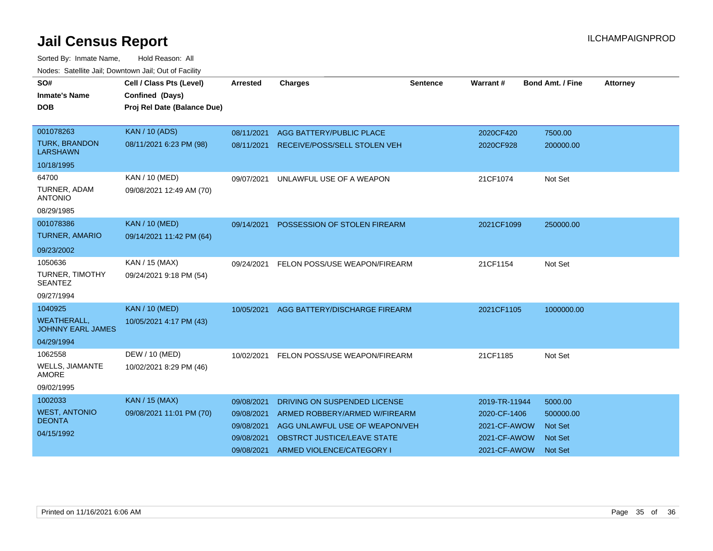| SO#<br><b>Inmate's Name</b><br><b>DOB</b>      | Cell / Class Pts (Level)<br>Confined (Days)<br>Proj Rel Date (Balance Due) | <b>Arrested</b> | <b>Charges</b>                          | <b>Sentence</b> | Warrant#      | <b>Bond Amt. / Fine</b> | <b>Attorney</b> |
|------------------------------------------------|----------------------------------------------------------------------------|-----------------|-----------------------------------------|-----------------|---------------|-------------------------|-----------------|
|                                                |                                                                            |                 |                                         |                 |               |                         |                 |
| 001078263                                      | <b>KAN / 10 (ADS)</b>                                                      | 08/11/2021      | AGG BATTERY/PUBLIC PLACE                |                 | 2020CF420     | 7500.00                 |                 |
| <b>TURK, BRANDON</b><br><b>LARSHAWN</b>        | 08/11/2021 6:23 PM (98)                                                    |                 | 08/11/2021 RECEIVE/POSS/SELL STOLEN VEH |                 | 2020CF928     | 200000.00               |                 |
| 10/18/1995                                     |                                                                            |                 |                                         |                 |               |                         |                 |
| 64700                                          | <b>KAN / 10 (MED)</b>                                                      | 09/07/2021      | UNLAWFUL USE OF A WEAPON                |                 | 21CF1074      | Not Set                 |                 |
| TURNER, ADAM<br><b>ANTONIO</b>                 | 09/08/2021 12:49 AM (70)                                                   |                 |                                         |                 |               |                         |                 |
| 08/29/1985                                     |                                                                            |                 |                                         |                 |               |                         |                 |
| 001078386                                      | <b>KAN / 10 (MED)</b>                                                      | 09/14/2021      | POSSESSION OF STOLEN FIREARM            |                 | 2021CF1099    | 250000.00               |                 |
| <b>TURNER, AMARIO</b>                          | 09/14/2021 11:42 PM (64)                                                   |                 |                                         |                 |               |                         |                 |
| 09/23/2002                                     |                                                                            |                 |                                         |                 |               |                         |                 |
| 1050636                                        | KAN / 15 (MAX)                                                             | 09/24/2021      | FELON POSS/USE WEAPON/FIREARM           |                 | 21CF1154      | Not Set                 |                 |
| TURNER, TIMOTHY<br><b>SEANTEZ</b>              | 09/24/2021 9:18 PM (54)                                                    |                 |                                         |                 |               |                         |                 |
| 09/27/1994                                     |                                                                            |                 |                                         |                 |               |                         |                 |
| 1040925                                        | <b>KAN / 10 (MED)</b>                                                      | 10/05/2021      | AGG BATTERY/DISCHARGE FIREARM           |                 | 2021CF1105    | 1000000.00              |                 |
| <b>WEATHERALL,</b><br><b>JOHNNY EARL JAMES</b> | 10/05/2021 4:17 PM (43)                                                    |                 |                                         |                 |               |                         |                 |
| 04/29/1994                                     |                                                                            |                 |                                         |                 |               |                         |                 |
| 1062558                                        | DEW / 10 (MED)                                                             | 10/02/2021      | FELON POSS/USE WEAPON/FIREARM           |                 | 21CF1185      | Not Set                 |                 |
| WELLS, JIAMANTE<br><b>AMORE</b>                | 10/02/2021 8:29 PM (46)                                                    |                 |                                         |                 |               |                         |                 |
| 09/02/1995                                     |                                                                            |                 |                                         |                 |               |                         |                 |
| 1002033                                        | <b>KAN / 15 (MAX)</b>                                                      | 09/08/2021      | DRIVING ON SUSPENDED LICENSE            |                 | 2019-TR-11944 | 5000.00                 |                 |
| <b>WEST, ANTONIO</b>                           | 09/08/2021 11:01 PM (70)                                                   | 09/08/2021      | ARMED ROBBERY/ARMED W/FIREARM           |                 | 2020-CF-1406  | 500000.00               |                 |
| <b>DEONTA</b>                                  |                                                                            | 09/08/2021      | AGG UNLAWFUL USE OF WEAPON/VEH          |                 | 2021-CF-AWOW  | Not Set                 |                 |
| 04/15/1992                                     |                                                                            | 09/08/2021      | OBSTRCT JUSTICE/LEAVE STATE             |                 | 2021-CF-AWOW  | <b>Not Set</b>          |                 |
|                                                |                                                                            | 09/08/2021      | ARMED VIOLENCE/CATEGORY I               |                 | 2021-CF-AWOW  | <b>Not Set</b>          |                 |